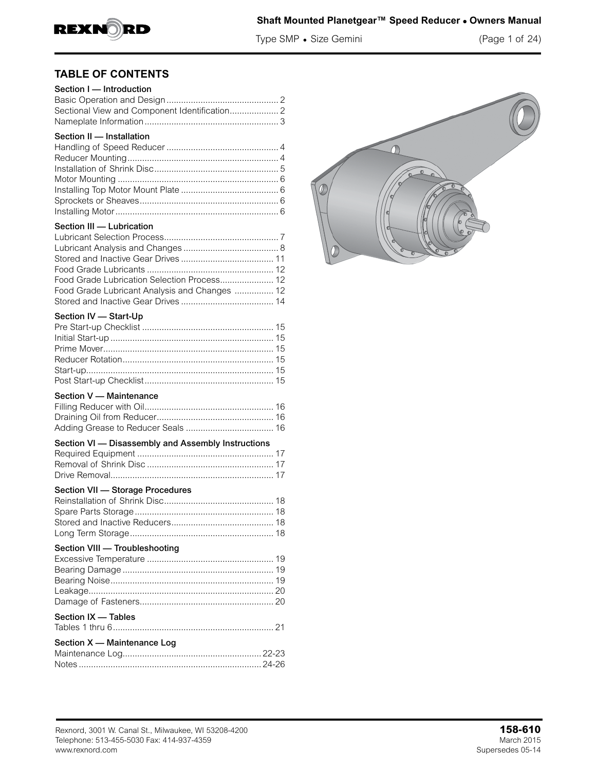

## **Shaft Mounted Planetgear™ Speed Reducer • Owners Manual**

Type SMP • Size Gemini (Page 1 of 24)

## **TABLE OF CONTENTS**

| Section I - Introduction                           |  |
|----------------------------------------------------|--|
|                                                    |  |
| Sectional View and Component Identification 2      |  |
|                                                    |  |
| Section II - Installation                          |  |
|                                                    |  |
|                                                    |  |
|                                                    |  |
|                                                    |  |
|                                                    |  |
|                                                    |  |
|                                                    |  |
|                                                    |  |
| Section III - Lubrication                          |  |
|                                                    |  |
|                                                    |  |
|                                                    |  |
|                                                    |  |
| Food Grade Lubrication Selection Process 12        |  |
| Food Grade Lubricant Analysis and Changes  12      |  |
|                                                    |  |
| Section IV - Start-Up                              |  |
|                                                    |  |
|                                                    |  |
|                                                    |  |
|                                                    |  |
|                                                    |  |
|                                                    |  |
|                                                    |  |
| Section V - Maintenance                            |  |
|                                                    |  |
|                                                    |  |
|                                                    |  |
| Section VI - Disassembly and Assembly Instructions |  |
|                                                    |  |
|                                                    |  |
|                                                    |  |
| Section VII - Storage Procedures                   |  |
|                                                    |  |
|                                                    |  |
|                                                    |  |
|                                                    |  |
|                                                    |  |
| Section VIII - Troubleshooting                     |  |
|                                                    |  |
|                                                    |  |
|                                                    |  |
|                                                    |  |
|                                                    |  |
| Section IX - Tables                                |  |
|                                                    |  |
| Section X - Maintenance Log                        |  |
|                                                    |  |
|                                                    |  |



Notes ........................................................................... 24-26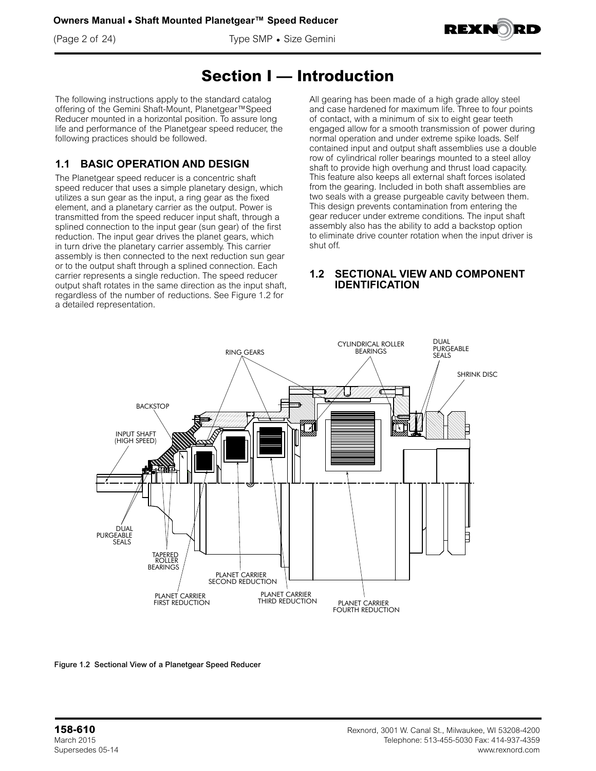(Page 2 of 24) Type SMP • Size Gemini



## **Section I — Introduction**

The following instructions apply to the standard catalog offering of the Gemini Shaft-Mount, Planetgear™Speed Reducer mounted in a horizontal position. To assure long life and performance of the Planetgear speed reducer, the following practices should be followed.

## **1.1 BASIC OPERATION AND DESIGN**

The Planetgear speed reducer is a concentric shaft speed reducer that uses a simple planetary design, which utilizes a sun gear as the input, a ring gear as the fixed element, and a planetary carrier as the output. Power is transmitted from the speed reducer input shaft, through a splined connection to the input gear (sun gear) of the first reduction. The input gear drives the planet gears, which in turn drive the planetary carrier assembly. This carrier assembly is then connected to the next reduction sun gear or to the output shaft through a splined connection. Each carrier represents a single reduction. The speed reducer output shaft rotates in the same direction as the input shaft, regardless of the number of reductions. See Figure 1.2 for a detailed representation.

All gearing has been made of a high grade alloy steel and case hardened for maximum life. Three to four points of contact, with a minimum of six to eight gear teeth engaged allow for a smooth transmission of power during normal operation and under extreme spike loads. Self contained input and output shaft assemblies use a double row of cylindrical roller bearings mounted to a steel alloy shaft to provide high overhung and thrust load capacity. This feature also keeps all external shaft forces isolated from the gearing. Included in both shaft assemblies are two seals with a grease purgeable cavity between them. This design prevents contamination from entering the gear reducer under extreme conditions. The input shaft assembly also has the ability to add a backstop option to eliminate drive counter rotation when the input driver is shut off.

### **1.2 SECTIONAL VIEW AND COMPONENT IDENTIFICATION**



Figure 1.2 Sectional View of a Planetgear Speed Reducer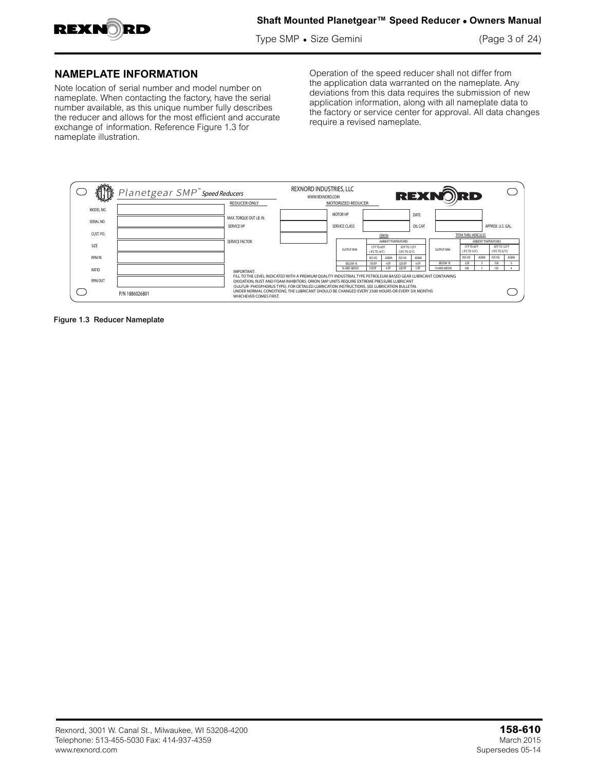

Type SMP • Size Gemini (Page 3 of 24)

### **NAMEPLATE INFORMATION**

Note location of serial number and model number on nameplate. When contacting the factory, have the serial number available, as this unique number fully describes the reducer and allows for the most efficient and accurate exchange of information. Reference Figure 1.3 for nameplate illustration.

Operation of the speed reducer shall not differ from the application data warranted on the nameplate. Any deviations from this data requires the submission of new application information, along with all nameplate data to the factory or service center for approval. All data changes require a revised nameplate.



Figure 1.3 Reducer Nameplate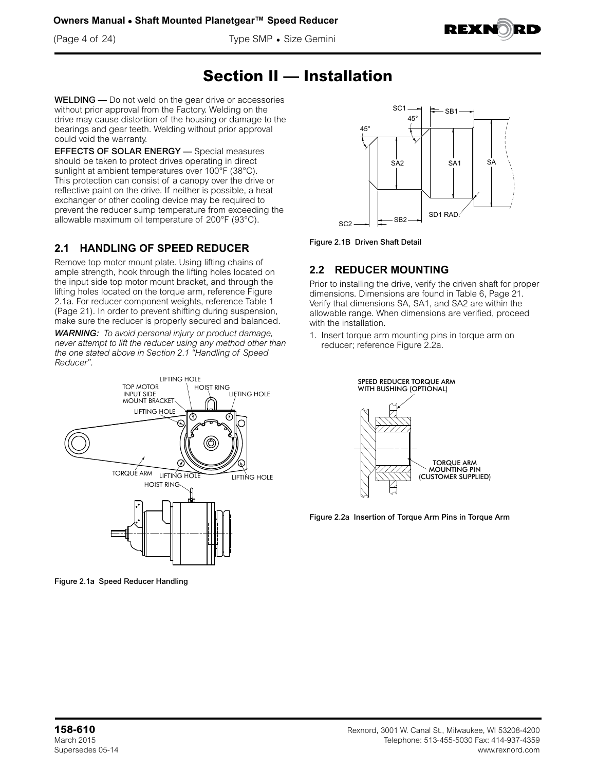**Owners Manual • Shaft Mounted Planetgear™ Speed Reducer**

(Page 4 of 24) Type SMP • Size Gemini



## **Section II — Installation**

WELDING — Do not weld on the gear drive or accessories without prior approval from the Factory. Welding on the drive may cause distortion of the housing or damage to the bearings and gear teeth. Welding without prior approval could void the warranty.

EFFECTS OF SOLAR ENERGY — Special measures should be taken to protect drives operating in direct sunlight at ambient temperatures over 100°F (38°C). This protection can consist of a canopy over the drive or reflective paint on the drive. If neither is possible, a heat exchanger or other cooling device may be required to prevent the reducer sump temperature from exceeding the allowable maximum oil temperature of 200°F (93°C).

## **2.1 HANDLING OF SPEED REDUCER**

Remove top motor mount plate. Using lifting chains of ample strength, hook through the lifting holes located on the input side top motor mount bracket, and through the lifting holes located on the torque arm, reference Figure 2.1a. For reducer component weights, reference Table 1 (Page 21). In order to prevent shifting during suspension, make sure the reducer is properly secured and balanced.

*WARNING: To avoid personal injury or product damage, never attempt to lift the reducer using any method other than the one stated above in Section 2.1 "Handling of Speed Reducer".*



Figure 2.1a Speed Reducer Handling



Figure 2.1B Driven Shaft Detail

## **2.2 REDUCER MOUNTING**

Prior to installing the drive, verify the driven shaft for proper dimensions. Dimensions are found in Table 6, Page 21. Verify that dimensions SA, SA1, and SA2 are within the allowable range. When dimensions are verified, proceed with the installation.

1. Insert torque arm mounting pins in torque arm on reducer; reference Figure 2.2a.



Figure 2.2a Insertion of Torque Arm Pins in Torque Arm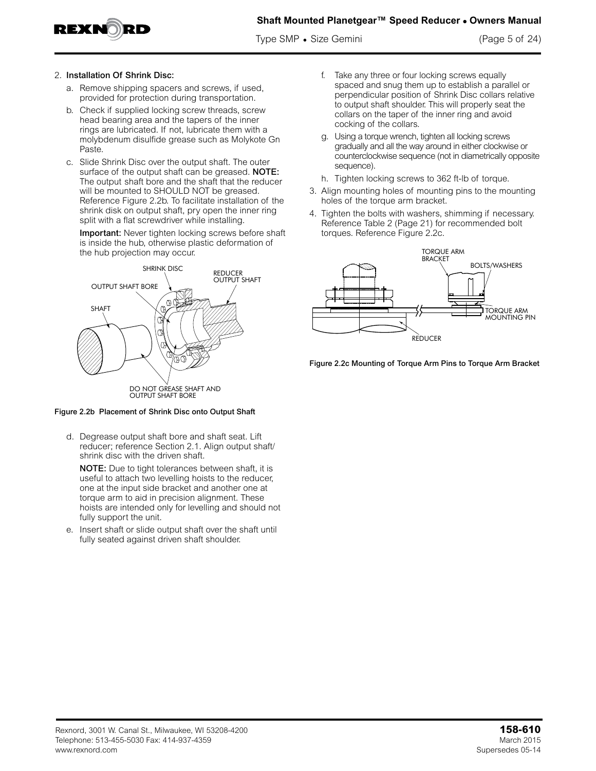

Type SMP • Size Gemini (Page 5 of 24)

#### 2. Installation Of Shrink Disc:

- a. Remove shipping spacers and screws, if used, provided for protection during transportation.
- b. Check if supplied locking screw threads, screw head bearing area and the tapers of the inner rings are lubricated. If not, lubricate them with a molybdenum disulfide grease such as Molykote Gn Paste.
- c. Slide Shrink Disc over the output shaft. The outer surface of the output shaft can be greased. NOTE: The output shaft bore and the shaft that the reducer will be mounted to SHOULD NOT be greased. Reference Figure 2.2b. To facilitate installation of the shrink disk on output shaft, pry open the inner ring split with a flat screwdriver while installing.

Important: Never tighten locking screws before shaft is inside the hub, otherwise plastic deformation of the hub projection may occur. The hub projection may occur.



Figure 2.2b Placement of Shrink Disc onto Output Shaft

d. Degrease output shaft bore and shaft seat. Lift reducer; reference Section 2.1. Align output shaft/ shrink disc with the driven shaft.

NOTE: Due to tight tolerances between shaft, it is useful to attach two levelling hoists to the reducer, one at the input side bracket and another one at torque arm to aid in precision alignment. These hoists are intended only for levelling and should not fully support the unit.

e. Insert shaft or slide output shaft over the shaft until fully seated against driven shaft shoulder.

- f. Take any three or four locking screws equally spaced and snug them up to establish a parallel or perpendicular position of Shrink Disc collars relative to output shaft shoulder. This will properly seat the collars on the taper of the inner ring and avoid cocking of the collars.
- g. Using a torque wrench, tighten all locking screws gradually and all the way around in either clockwise or counterclockwise sequence (not in diametrically opposite sequence).
- h. Tighten locking screws to 362 ft-lb of torque.
- 3. Align mounting holes of mounting pins to the mounting holes of the torque arm bracket.
- 4. Tighten the bolts with washers, shimming if necessary. Reference Table 2 (Page 21) for recommended bolt torques. Reference Figure 2.2c.



Figure 2.2c Mounting of Torque Arm Pins to Torque Arm Bracket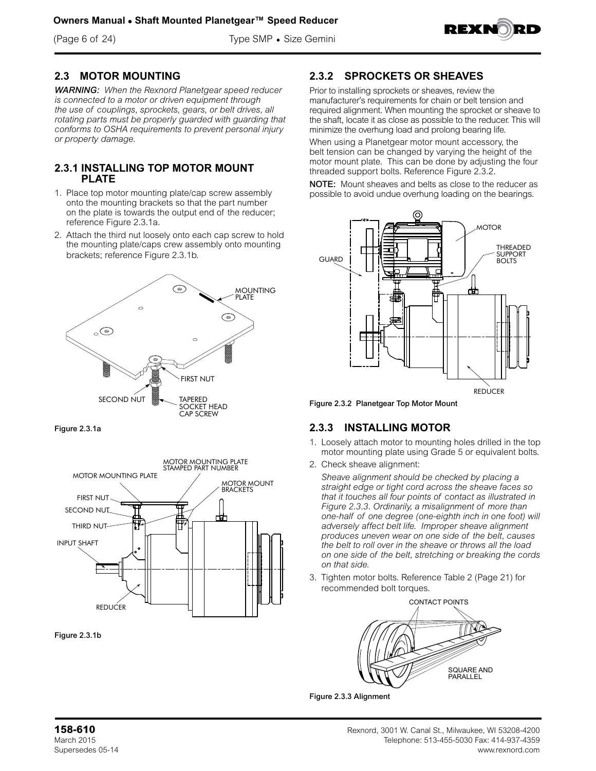(Page 6 of 24) Type SMP • Size Gemini



## **2.3 MOTOR MOUNTING**

*WARNING: When the Rexnord Planetgear speed reducer is connected to a motor or driven equipment through the use of couplings, sprockets, gears, or belt drives, all rotating parts must be properly guarded with guarding that conforms to OSHA requirements to prevent personal injury or property damage.*

#### **2.3.1 INSTALLING TOP MOTOR MOUNT PLATE**

- 1. Place top motor mounting plate/cap screw assembly onto the mounting brackets so that the part number on the plate is towards the output end of the reducer; reference Figure 2.3.1a.
- 2. Attach the third nut loosely onto each cap screw to hold the mounting plate/caps crew assembly onto mounting brackets; reference Figure 2.3.1b.









## **2.3.2 SPROCKETS OR SHEAVES**

Prior to installing sprockets or sheaves, review the manufacturer's requirements for chain or belt tension and required alignment. When mounting the sprocket or sheave to the shaft, locate it as close as possible to the reducer. This will minimize the overhung load and prolong bearing life.

When using a Planetgear motor mount accessory, the belt tension can be changed by varying the height of the motor mount plate. This can be done by adjusting the four threaded support bolts. Reference Figure 2.3.2.

NOTE: Mount sheaves and belts as close to the reducer as possible to avoid undue overhung loading on the bearings.



Figure 2.3.2 Planetgear Top Motor Mount

## **2.3.3 INSTALLING MOTOR**

- 1. Loosely attach motor to mounting holes drilled in the top motor mounting plate using Grade 5 or equivalent bolts.
- 2. Check sheave alignment:

*Sheave alignment should be checked by placing a straight edge or tight cord across the sheave faces so that it touches all four points of contact as illustrated in Figure 2.3.3. Ordinarily, a misalignment of more than one-half of one degree (one-eighth inch in one foot) will adversely affect belt life. Improper sheave alignment produces uneven wear on one side of the belt, causes the belt to roll over in the sheave or throws all the load on one side of the belt, stretching or breaking the cords on that side.*

3. Tighten motor bolts. Reference Table 2 (Page 21) for recommended bolt torques.



Figure 2.3.3 Alignment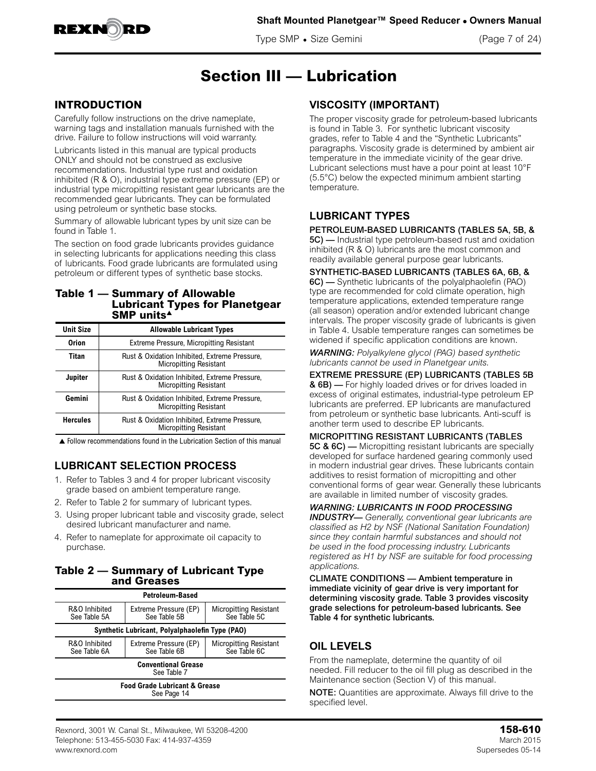

Type SMP • Size Gemini (Page 7 of 24)



## **Section III — Lubrication**

### **INTRODUCTION**

Carefully follow instructions on the drive nameplate, warning tags and installation manuals furnished with the drive. Failure to follow instructions will void warranty.

Lubricants listed in this manual are typical products ONLY and should not be construed as exclusive recommendations. Industrial type rust and oxidation inhibited (R & O), industrial type extreme pressure (EP) or industrial type micropitting resistant gear lubricants are the recommended gear lubricants. They can be formulated using petroleum or synthetic base stocks.

Summary of allowable lubricant types by unit size can be found in Table 1.

The section on food grade lubricants provides guidance in selecting lubricants for applications needing this class of lubricants. Food grade lubricants are formulated using petroleum or different types of synthetic base stocks.

#### **Table 1 — Summary of Allowable Lubricant Types for Planetgear SMP** units<sup>4</sup>

| <b>Unit Size</b> | <b>Allowable Lubricant Types</b>                                               |
|------------------|--------------------------------------------------------------------------------|
| <b>Orion</b>     | <b>Extreme Pressure, Micropitting Resistant</b>                                |
| Titan            | Rust & Oxidation Inhibited, Extreme Pressure,<br><b>Micropitting Resistant</b> |
| Jupiter          | Rust & Oxidation Inhibited, Extreme Pressure,<br><b>Micropitting Resistant</b> |
| Gemini           | Rust & Oxidation Inhibited, Extreme Pressure,<br><b>Micropitting Resistant</b> |
| <b>Hercules</b>  | Rust & Oxidation Inhibited, Extreme Pressure,<br><b>Micropitting Resistant</b> |

 $\triangle$  Follow recommendations found in the Lubrication Section of this manual

## **LUBRICANT SELECTION PROCESS**

- 1. Refer to Tables 3 and 4 for proper lubricant viscosity grade based on ambient temperature range.
- 2. Refer to Table 2 for summary of lubricant types.
- 3. Using proper lubricant table and viscosity grade, select desired lubricant manufacturer and name.
- 4. Refer to nameplate for approximate oil capacity to purchase.

#### **Table 2 — Summary of Lubricant Type and Greases**

| <b>Petroleum-Based</b>                                                                                                  |  |  |  |  |  |  |
|-------------------------------------------------------------------------------------------------------------------------|--|--|--|--|--|--|
| R&O Inhibited<br>Micropitting Resistant<br>See Table 5C<br>Extreme Pressure (EP)<br>See Table 5B<br>See Table 5A        |  |  |  |  |  |  |
| Synthetic Lubricant, Polyalphaolefin Type (PAO)                                                                         |  |  |  |  |  |  |
| R&O Inhibited<br><b>Micropitting Resistant</b><br>Extreme Pressure (EP)<br>See Table 6C<br>See Table 6B<br>See Table 6A |  |  |  |  |  |  |
| <b>Conventional Grease</b><br>See Table 7                                                                               |  |  |  |  |  |  |
| <b>Food Grade Lubricant &amp; Grease</b><br>See Page 14                                                                 |  |  |  |  |  |  |

### **VISCOSITY (IMPORTANT)**

The proper viscosity grade for petroleum-based lubricants is found in Table 3. For synthetic lubricant viscosity grades, refer to Table 4 and the "Synthetic Lubricants" paragraphs. Viscosity grade is determined by ambient air temperature in the immediate vicinity of the gear drive. Lubricant selections must have a pour point at least 10°F (5.5°C) below the expected minimum ambient starting temperature.

### **LUBRICANT TYPES**

#### PETROLEUM-BASED LUBRICANTS (TABLES 5A, 5B, &

5C) — Industrial type petroleum-based rust and oxidation inhibited (R & O) lubricants are the most common and readily available general purpose gear lubricants.

SYNTHETIC-BASED LUBRICANTS (TABLES 6A, 6B, & 6C) — Synthetic lubricants of the polyalphaolefin (PAO) type are recommended for cold climate operation, high temperature applications, extended temperature range (all season) operation and/or extended lubricant change intervals. The proper viscosity grade of lubricants is given in Table 4. Usable temperature ranges can sometimes be widened if specific application conditions are known.

*WARNING: Polyalkylene glycol (PAG) based synthetic lubricants cannot be used in Planetgear units.*

EXTREME PRESSURE (EP) LUBRICANTS (TABLES 5B & 6B) — For highly loaded drives or for drives loaded in excess of original estimates, industrial-type petroleum EP lubricants are preferred. EP lubricants are manufactured from petroleum or synthetic base lubricants. Anti-scuff is another term used to describe EP lubricants.

MICROPITTING RESISTANT LUBRICANTS (TABLES 5C & 6C) — Micropitting resistant lubricants are specially developed for surface hardened gearing commonly used in modern industrial gear drives. These lubricants contain additives to resist formation of micropitting and other conventional forms of gear wear. Generally these lubricants are available in limited number of viscosity grades.

*WARNING: LUBRICANTS IN FOOD PROCESSING INDUSTRY— Generally, conventional gear lubricants are classified as H2 by NSF (National Sanitation Foundation) since they contain harmful substances and should not be used in the food processing industry. Lubricants registered as H1 by NSF are suitable for food processing applications.*

CLIMATE CONDITIONS — Ambient temperature in immediate vicinity of gear drive is very important for determining viscosity grade. Table 3 provides viscosity grade selections for petroleum-based lubricants. See Table 4 for synthetic lubricants.

## **OIL LEVELS**

From the nameplate, determine the quantity of oil needed. Fill reducer to the oil fill plug as described in the Maintenance section (Section V) of this manual.

**NOTE:** Quantities are approximate. Always fill drive to the specified level.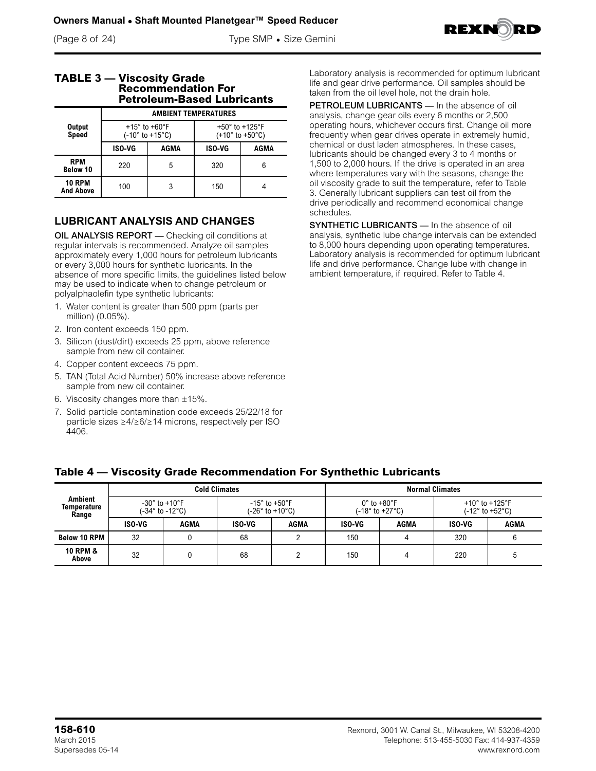(Page 8 of 24) Type SMP • Size Gemini



|  | <b>TABLE 3 - Viscosity Grade</b><br><b>Recommendation For</b><br><b>Petroleum-Based Lubricants</b> |
|--|----------------------------------------------------------------------------------------------------|
|  | <b>AMRIENT TEMPERATIIRES</b>                                                                       |

|                                   |               | <b>AMBIENT TEMPERATURES</b>                                            |                                                                         |      |  |  |
|-----------------------------------|---------------|------------------------------------------------------------------------|-------------------------------------------------------------------------|------|--|--|
| <b>Output</b><br>Speed            |               | $+15^{\circ}$ to $+60^{\circ}$ F<br>$(-10^{\circ}$ to $+15^{\circ}$ C) | +50 $\degree$ to +125 $\degree$ F<br>$(+10^{\circ}$ to $+50^{\circ}$ C) |      |  |  |
|                                   | <b>ISO-VG</b> | AGMA                                                                   | <b>ISO-VG</b>                                                           | AGMA |  |  |
| <b>RPM</b><br><b>Below 10</b>     | 220           | 5                                                                      | 320                                                                     | 6    |  |  |
| <b>10 RPM</b><br><b>And Above</b> | 3<br>100      |                                                                        | 150                                                                     |      |  |  |

## **LUBRICANT ANALYSIS AND CHANGES**

OIL ANALYSIS REPORT — Checking oil conditions at regular intervals is recommended. Analyze oil samples approximately every 1,000 hours for petroleum lubricants or every 3,000 hours for synthetic lubricants. In the absence of more specific limits, the guidelines listed below may be used to indicate when to change petroleum or polyalphaolefin type synthetic lubricants:

- 1. Water content is greater than 500 ppm (parts per million) (0.05%).
- 2. Iron content exceeds 150 ppm.
- 3. Silicon (dust/dirt) exceeds 25 ppm, above reference sample from new oil container.
- 4. Copper content exceeds 75 ppm.
- 5. TAN (Total Acid Number) 50% increase above reference sample from new oil container.
- 6. Viscosity changes more than  $\pm 15\%$ .
- 7. Solid particle contamination code exceeds 25/22/18 for particle sizes ≥4/≥6/≥14 microns, respectively per ISO 4406.

Laboratory analysis is recommended for optimum lubricant life and gear drive performance. Oil samples should be taken from the oil level hole, not the drain hole.

PETROLEUM LUBRICANTS — In the absence of oil analysis, change gear oils every 6 months or 2,500 operating hours, whichever occurs first. Change oil more frequently when gear drives operate in extremely humid, chemical or dust laden atmospheres. In these cases, lubricants should be changed every 3 to 4 months or 1,500 to 2,000 hours. If the drive is operated in an area where temperatures vary with the seasons, change the oil viscosity grade to suit the temperature, refer to Table 3. Generally lubricant suppliers can test oil from the drive periodically and recommend economical change schedules.

SYNTHETIC LUBRICANTS - In the absence of oil analysis, synthetic lube change intervals can be extended to 8,000 hours depending upon operating temperatures. Laboratory analysis is recommended for optimum lubricant life and drive performance. Change lube with change in ambient temperature, if required. Refer to Table 4.

|                                        | <b>Cold Climates</b> |                                                  |        |                                                       | <b>Normal Climates</b>     |                  |               |                                                                            |
|----------------------------------------|----------------------|--------------------------------------------------|--------|-------------------------------------------------------|----------------------------|------------------|---------------|----------------------------------------------------------------------------|
| <b>Ambient</b><br>Temperature<br>Range |                      | $-30^\circ$ to $+10^\circ$ F<br>(-34° to -12°C). |        | -15 $^{\circ}$ to +50 $^{\circ}$ F<br>(-26° to +10°C) | $0^\circ$ to $+80^\circ$ F | (-18° to +27°C). |               | +10 $^{\circ}$ to +125 $^{\circ}$ F<br>$(-12^{\circ}$ to +52 $^{\circ}$ C) |
|                                        | ISO-VG               | AGMA                                             | ISO-VG | AGMA                                                  | ISO-VG                     | AGMA             | <b>ISO-VG</b> | AGMA                                                                       |
| <b>Below 10 RPM</b>                    | 32                   |                                                  | 68     |                                                       | 150                        |                  | 320           |                                                                            |
| <b>10 RPM &amp;</b><br>Above           | 32                   |                                                  | 68     | ኅ                                                     | 150                        |                  | 220           |                                                                            |

## **Table 4 — Viscosity Grade Recommendation For Synthethic Lubricants**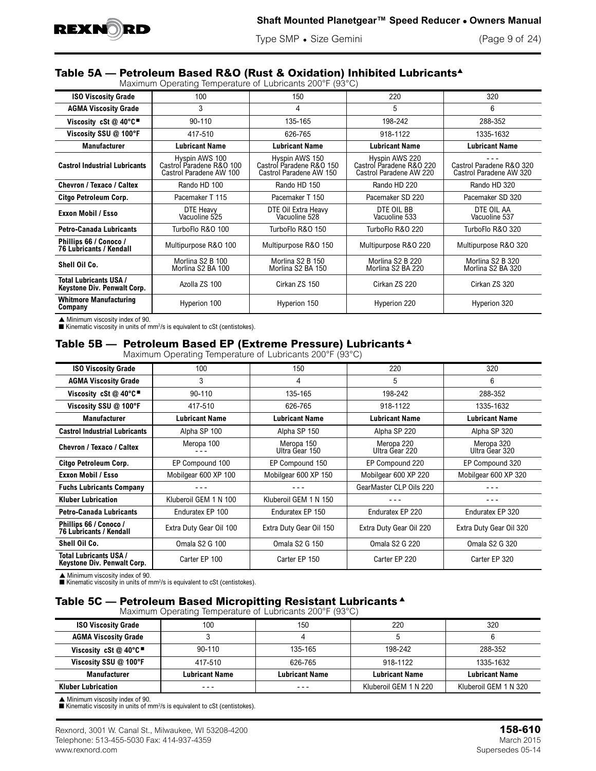

Type SMP • Size Gemini (Page 9 of 24)

## **Table 5A — Petroleum Based R&O (Rust & Oxidation) Inhibited Lubricants**<sup>s</sup>

Maximum Operating Temperature of Lubricants 200°F (93°C)

| <b>ISO Viscosity Grade</b>                                   | 100                                                                   | 150                                                                   | 220                                                                   | 320                                                 |
|--------------------------------------------------------------|-----------------------------------------------------------------------|-----------------------------------------------------------------------|-----------------------------------------------------------------------|-----------------------------------------------------|
| <b>AGMA Viscosity Grade</b>                                  | 3                                                                     |                                                                       | 5                                                                     | 6                                                   |
| Viscosity cSt @ 40°C                                         | $90 - 110$                                                            |                                                                       | 198-242                                                               | 288-352                                             |
| Viscosity SSU @ 100°F<br>417-510                             |                                                                       | 626-765                                                               | 918-1122                                                              | 1335-1632                                           |
| <b>Manufacturer</b>                                          | <b>Lubricant Name</b>                                                 | <b>Lubricant Name</b>                                                 | <b>Lubricant Name</b>                                                 | <b>Lubricant Name</b>                               |
| <b>Castrol Industrial Lubricants</b>                         | Hyspin AWS 100<br>Castrol Paradene R&O 100<br>Castrol Paradene AW 100 | Hyspin AWS 150<br>Castrol Paradene R&O 150<br>Castrol Paradene AW 150 | Hyspin AWS 220<br>Castrol Paradene R&O 220<br>Castrol Paradene AW 220 | Castrol Paradene R&O 320<br>Castrol Paradene AW 320 |
| Chevron / Texaco / Caltex<br>Rando HD 100                    |                                                                       | Rando HD 150                                                          | Rando HD 220                                                          | Rando HD 320                                        |
| Citgo Petroleum Corp.                                        | Pacemaker T 115                                                       | Pacemaker T 150                                                       | Pacemaker SD 220                                                      | Pacemaker SD 320                                    |
| DTE Heavy<br>Exxon Mobil / Esso<br>Vacuoline 525             |                                                                       | DTE Oil Extra Heavy<br>Vacuoline 528                                  | DTE OIL BB<br>Vacuoline 533                                           | DTE OIL AA<br>Vacuoline 537                         |
| <b>Petro-Canada Lubricants</b>                               | TurboFlo R&O 100                                                      |                                                                       | TurboFlo R&O 220                                                      | TurboFlo R&O 320                                    |
| Phillips 66 / Conoco /<br><b>76 Lubricants / Kendall</b>     | Multipurpose R&O 100                                                  | Multipurpose R&O 150                                                  | Multipurpose R&O 220                                                  | Multipurpose R&O 320                                |
| Shell Oil Co.                                                | Morlina S2 B 100<br>Morlina S2 BA 100                                 | Morlina S2 B 150<br>Morlina S2 BA 150                                 | Morlina S2 B 220<br>Morlina S2 BA 220                                 | Morlina S2 B 320<br>Morlina S2 BA 320               |
| <b>Total Lubricants USA /</b><br>Keystone Div. Penwalt Corp. | Azolla ZS 100                                                         | Cirkan ZS 150                                                         | Cirkan ZS 220                                                         | Cirkan ZS 320                                       |
| <b>Whitmore Manufacturing</b><br>Company                     | Hyperion 100                                                          | Hyperion 150                                                          | Hyperion 220                                                          | Hyperion 320                                        |

 $\triangle$  Minimum viscosity index of 90.

 $\blacksquare$  Kinematic viscosity in units of mm<sup>2</sup>/s is equivalent to cSt (centistokes).

## Table 5B - Petroleum Based EP (Extreme Pressure) Lubricants<sup>4</sup>

Maximum Operating Temperature of Lubricants 200°F (93°C)

| <b>ISO Viscosity Grade</b>                                   | 100                        | 150                          | 220                          | 320                          |
|--------------------------------------------------------------|----------------------------|------------------------------|------------------------------|------------------------------|
| <b>AGMA Viscosity Grade</b>                                  | 3                          | 4                            | 5                            | 6                            |
| Viscosity cSt $@$ 40°C                                       | $90 - 110$                 | 135-165                      | 198-242                      | 288-352                      |
| Viscosity SSU @ 100°F                                        | 417-510                    |                              | 918-1122                     | 1335-1632                    |
| <b>Manufacturer</b>                                          | <b>Lubricant Name</b>      | <b>Lubricant Name</b>        | <b>Lubricant Name</b>        | <b>Lubricant Name</b>        |
| <b>Castrol Industrial Lubricants</b>                         | Alpha SP 100               | Alpha SP 150                 | Alpha SP 220                 | Alpha SP 320                 |
| Chevron / Texaco / Caltex                                    | Meropa 100                 | Meropa 150<br>Ultra Gear 150 | Meropa 220<br>Ultra Gear 220 | Meropa 320<br>Ultra Gear 320 |
| Citgo Petroleum Corp.<br>EP Compound 100                     |                            | EP Compound 150              | EP Compound 220              | EP Compound 320              |
| Exxon Mobil / Esso                                           | Mobilgear 600 XP 100       | Mobilgear 600 XP 150         | Mobilgear 600 XP 220         | Mobilgear 600 XP 320         |
| <b>Fuchs Lubricants Company</b>                              |                            |                              | GearMaster CLP Oils 220      |                              |
| <b>Kluber Lubrication</b>                                    | Kluberoil GEM 1 N 100      | Kluberoil GEM 1 N 150        |                              |                              |
| <b>Petro-Canada Lubricants</b>                               | Enduratex EP 100           | Enduratex EP 150             | Enduratex EP 220             | Enduratex EP 320             |
| Phillips 66 / Conoco /<br><b>76 Lubricants / Kendall</b>     | Extra Duty Gear Oil 100    | Extra Duty Gear Oil 150      | Extra Duty Gear Oil 220      | Extra Duty Gear Oil 320      |
| Shell Oil Co.                                                | Omala S <sub>2</sub> G 100 | Omala S <sub>2</sub> G 150   | Omala S <sub>2</sub> G 220   | Omala S <sub>2</sub> G 320   |
| <b>Total Lubricants USA /</b><br>Keystone Div. Penwalt Corp. | Carter EP 100              | Carter EP 150                | Carter EP 220                | Carter EP 320                |

▲ Minimum viscosity index of 90.<br>■ Kinematic viscosity in units of mm<sup>2</sup>/s is equivalent to cSt (centistokes).

## Table 5C - Petroleum Based Micropitting Resistant Lubricants  $\triangle$

Maximum Operating Temperature of Lubricants 200°F (93°C)

|                                                                | $\sim$                |                       |                       |                       |
|----------------------------------------------------------------|-----------------------|-----------------------|-----------------------|-----------------------|
| <b>ISO Viscosity Grade</b>                                     | 100                   | 150                   | 220                   | 320                   |
| <b>AGMA Viscosity Grade</b>                                    |                       |                       |                       |                       |
| Viscosity cSt $@$ 40 $°C$ <sup><math>\blacksquare</math></sup> | $90 - 110$            | 135-165               | 198-242               | 288-352               |
| Viscosity SSU @ 100°F                                          | 417-510               | 626-765               | 918-1122              | 1335-1632             |
| <b>Manufacturer</b>                                            | <b>Lubricant Name</b> | <b>Lubricant Name</b> | <b>Lubricant Name</b> | <b>Lubricant Name</b> |
| <b>Kluber Lubrication</b>                                      | ---                   | ---                   | Kluberoil GEM 1 N 220 | Kluberoil GEM 1 N 320 |

▲ Minimum viscosity index of 90.<br>■ Kinematic viscosity in units of mm<sup>2</sup>/s is equivalent to cSt (centistokes).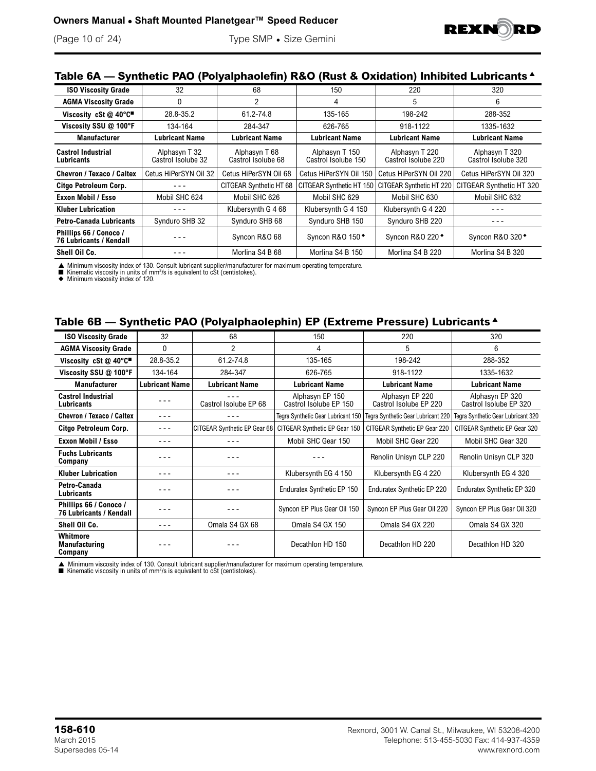

## **Table 6A — Synthetic PAO (Polyalphaolefin) R&O (Rust & Oxidation) Inhibited Lubricants** <sup>s</sup>

| <b>ISO Viscosity Grade</b>                               | 32                                  | 68                                  | 150                                   | 220                                   | 320                                   |
|----------------------------------------------------------|-------------------------------------|-------------------------------------|---------------------------------------|---------------------------------------|---------------------------------------|
| <b>AGMA Viscosity Grade</b>                              | 0                                   | 2                                   | 4                                     | 5                                     | 6                                     |
| Viscosity cSt @ 40°C                                     | 28.8-35.2                           | 61.2-74.8                           | 135-165                               | 198-242                               | 288-352                               |
| Viscosity SSU @ 100°F                                    | 134-164                             | 284-347                             | 626-765                               | 918-1122                              | 1335-1632                             |
| <b>Manufacturer</b>                                      | Lubricant Name                      | <b>Lubricant Name</b>               | <b>Lubricant Name</b>                 | <b>Lubricant Name</b>                 | <b>Lubricant Name</b>                 |
| <b>Castrol Industrial</b><br>Lubricants                  | Alphasyn T 32<br>Castrol Isolube 32 | Alphasyn T 68<br>Castrol Isolube 68 | Alphasyn T 150<br>Castrol Isolube 150 | Alphasyn T 220<br>Castrol Isolube 220 | Alphasyn T 320<br>Castrol Isolube 320 |
| Chevron / Texaco / Caltex                                | Cetus HiPerSYN Oil 32               | Cetus HiPerSYN Oil 68               | Cetus HiPerSYN Oil 150                | Cetus HiPerSYN Oil 220                | Cetus HiPerSYN Oil 320                |
| Citgo Petroleum Corp.                                    | ---                                 | CITGEAR Synthetic HT 68             | CITGEAR Synthetic HT 150              | CITGEAR Synthetic HT 220              | CITGEAR Synthetic HT 320              |
| <b>Exxon Mobil / Esso</b>                                | Mobil SHC 624                       | Mobil SHC 626                       | Mobil SHC 629                         | Mobil SHC 630                         | Mobil SHC 632                         |
| <b>Kluber Lubrication</b>                                |                                     | Klubersynth G 4 68                  | Klubersynth G 4 150                   | Klubersynth G 4 220                   |                                       |
| <b>Petro-Canada Lubricants</b>                           | Synduro SHB 32                      | Synduro SHB 68                      | Synduro SHB 150                       | Synduro SHB 220                       |                                       |
| Phillips 66 / Conoco /<br><b>76 Lubricants / Kendall</b> |                                     | Syncon R&O 68                       | Syncon R&O 150 <sup>+</sup>           | Syncon R&O 220 <sup>+</sup>           | Syncon R&O 320 <sup>+</sup>           |
| Shell Oil Co.                                            |                                     | Morlina S4 B 68                     | Morlina S4 B 150                      | Morlina S4 B 220                      | Morlina S4 B 320                      |

▲ Minimum viscosity index of 130. Consult lubricant supplier/manufacturer for maximum operating temperature.<br>■ Kinematic viscosity in units of mm<sup>2</sup>/s is equivalent to cSt (centistokes).<br>◆ Minimum viscosity index of 120.

#### **Table 6B — Synthetic PAO (Polyalphaolephin) EP (Extreme Pressure) Lubricants** <sup>s</sup>

| <b>ISO Viscosity Grade</b>                        | 32                    | 68                           | 150                                       | 220                                       | 320                                       |
|---------------------------------------------------|-----------------------|------------------------------|-------------------------------------------|-------------------------------------------|-------------------------------------------|
| <b>AGMA Viscosity Grade</b>                       | $\mathbf{0}$          | 2                            | 4                                         | 5                                         | 6                                         |
| Viscosity cSt @ 40°C"                             | 28.8-35.2             | 61.2-74.8                    | 135-165                                   | 198-242                                   | 288-352                                   |
| Viscosity SSU @ 100°F                             | 134-164               | 284-347                      | 626-765                                   | 918-1122                                  | 1335-1632                                 |
| <b>Manufacturer</b>                               | <b>Lubricant Name</b> | <b>Lubricant Name</b>        | <b>Lubricant Name</b>                     | <b>Lubricant Name</b>                     | <b>Lubricant Name</b>                     |
| <b>Castrol Industrial</b><br>Lubricants           |                       | Castrol Isolube EP 68        | Alphasyn EP 150<br>Castrol Isolube EP 150 | Alphasyn EP 220<br>Castrol Isolube EP 220 | Alphasyn EP 320<br>Castrol Isolube EP 320 |
| Chevron / Texaco / Caltex                         | - - -                 |                              | Tegra Synthetic Gear Lubricant 150        | Tegra Synthetic Gear Lubricant 220        | Tegra Synthetic Gear Lubricant 320        |
| Citgo Petroleum Corp.                             | - - -                 | CITGEAR Synthetic EP Gear 68 | CITGEAR Synthetic EP Gear 150             | CITGEAR Synthetic EP Gear 220             | CITGEAR Synthetic EP Gear 320             |
| <b>Exxon Mobil / Esso</b>                         | - - -                 |                              | Mobil SHC Gear 150                        | Mobil SHC Gear 220                        | Mobil SHC Gear 320                        |
| <b>Fuchs Lubricants</b><br>Company                |                       |                              |                                           | Renolin Unisyn CLP 220                    | Renolin Unisyn CLP 320                    |
| <b>Kluber Lubrication</b>                         | - - -                 | - - -                        | Klubersynth EG 4 150                      | Klubersynth EG 4 220                      | Klubersynth EG 4 320                      |
| Petro-Canada<br>Lubricants                        |                       |                              | Enduratex Synthetic EP 150                | Enduratex Synthetic EP 220                | Enduratex Synthetic EP 320                |
| Phillips 66 / Conoco /<br>76 Lubricants / Kendall |                       |                              | Syncon EP Plus Gear Oil 150               | Syncon EP Plus Gear Oil 220               | Syncon EP Plus Gear Oil 320               |
| Shell Oil Co.                                     | - - -                 | Omala S4 GX 68               | Omala S4 GX 150                           | Omala S4 GX 220                           | Omala S4 GX 320                           |
| Whitmore<br>Manufacturing<br>Company              |                       |                              | Decathlon HD 150                          | Decathlon HD 220                          | Decathlon HD 320                          |

▲ Minimum viscosity index of 130. Consult lubricant supplier/manufacturer for maximum operating temperature.<br>■ Kinematic viscosity in units of mm<sup>2</sup>/s is equivalent to cSt (centistokes).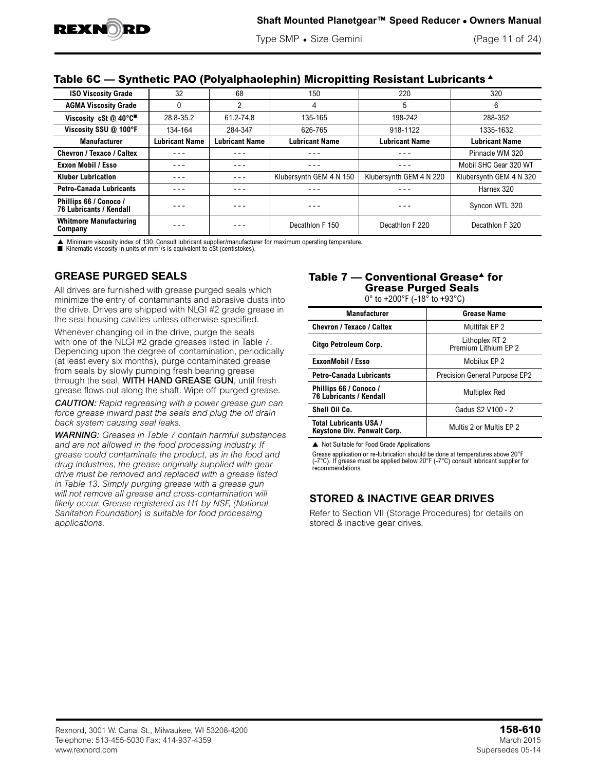Type SMP • Size Gemini (Page 11 of 24)

### **Table 6C — Synthetic PAO (Polyalphaolephin) Micropitting Resistant Lubricants** <sup>s</sup>

| <b>ISO Viscosity Grade</b>                               | 32                    | 68                    | 150                     | 220                     | 320                     |
|----------------------------------------------------------|-----------------------|-----------------------|-------------------------|-------------------------|-------------------------|
| <b>AGMA Viscosity Grade</b>                              | 0                     | $\overline{2}$        | 4                       | 5                       | 6                       |
| Viscosity cSt @ 40°C                                     | 28.8-35.2             | 61.2-74.8             | 135-165                 | 198-242                 | 288-352                 |
| Viscosity SSU @ 100°F                                    | 134-164               | 284-347               | 626-765                 | 918-1122                | 1335-1632               |
| <b>Manufacturer</b>                                      | <b>Lubricant Name</b> | <b>Lubricant Name</b> | <b>Lubricant Name</b>   | <b>Lubricant Name</b>   | <b>Lubricant Name</b>   |
| Chevron / Texaco / Caltex                                |                       | - - -                 | - - -                   | - - -                   | Pinnacle WM 320         |
| <b>Exxon Mobil / Esso</b>                                | - - -                 | - - -                 | - - -                   | - - -                   | Mobil SHC Gear 320 WT   |
| <b>Kluber Lubrication</b>                                | - - -                 | - - -                 | Klubersynth GEM 4 N 150 | Klubersynth GEM 4 N 220 | Klubersynth GEM 4 N 320 |
| <b>Petro-Canada Lubricants</b>                           | ---                   | - - -                 |                         | - - -                   | Harnex 320              |
| Phillips 66 / Conoco /<br><b>76 Lubricants / Kendall</b> |                       | - - -                 |                         |                         | Syncon WTL 320          |
| <b>Whitmore Manufacturing</b><br>Company                 |                       |                       | Decathlon F 150         | Decathlon F 220         | Decathlon F 320         |

Minimum viscosity index of 130. Consult lubricant supplier/manufacturer for maximum operating temperature.

E Kinematic viscosity in units of  $mm^2/s$  is equivalent to cSt (centistokes).

## **GREASE PURGED SEALS**

All drives are furnished with grease purged seals which minimize the entry of contaminants and abrasive dusts into the drive. Drives are shipped with NLGI #2 grade grease in the seal housing cavities unless otherwise specified.

Whenever changing oil in the drive, purge the seals with one of the NLGI #2 grade greases listed in Table 7. Depending upon the degree of contamination, periodically (at least every six months), purge contaminated grease from seals by slowly pumping fresh bearing grease through the seal, WITH HAND GREASE GUN, until fresh grease flows out along the shaft. Wipe off purged grease.

*CAUTION: Rapid regreasing with a power grease gun can force grease inward past the seals and plug the oil drain back system causing seal leaks.*

*WARNING: Greases in Table 7 contain harmful substances and are not allowed in the food processing industry. If grease could contaminate the product, as in the food and drug industries, the grease originally supplied with gear drive must be removed and replaced with a grease listed in Table 13. Simply purging grease with a grease gun will not remove all grease and cross-contamination will likely occur. Grease registered as H1 by NSF, (National Sanitation Foundation) is suitable for food processing applications.*

## Table 7 — Conventional Grease<sup> $\triangle$ </sup> for **Grease Purged Seals**

0° to +200°F (-18° to +93°C)

| <b>Manufacturer</b>                                      | Grease Name                             |
|----------------------------------------------------------|-----------------------------------------|
| <b>Chevron / Texaco / Caltex</b>                         | Multifak EP 2                           |
| Citgo Petroleum Corp.                                    | Lithoplex RT 2<br>Premium I ithium FP 2 |
| <b>ExxonMobil / Esso</b>                                 | Mobilux EP 2                            |
| <b>Petro-Canada Lubricants</b>                           | <b>Precision General Purpose EP2</b>    |
| Phillips 66 / Conoco /<br><b>76 Lubricants / Kendall</b> | <b>Multiplex Red</b>                    |
| Shell Oil Co.                                            | Gadus S2 V100 - 2                       |
| Total Lubricants USA /<br>Keystone Div. Penwalt Corp.    | Multis 2 or Multis FP 2                 |

▲ Not Suitable for Food Grade Applications

Grease application or re-lubrication should be done at temperatures above 20°F (-7°C). If grease must be applied below 20°F (-7°C) consult lubricant supplier for recommendations.

## **STORED & INACTIVE GEAR DRIVES**

Refer to Section VII (Storage Procedures) for details on stored & inactive gear drives.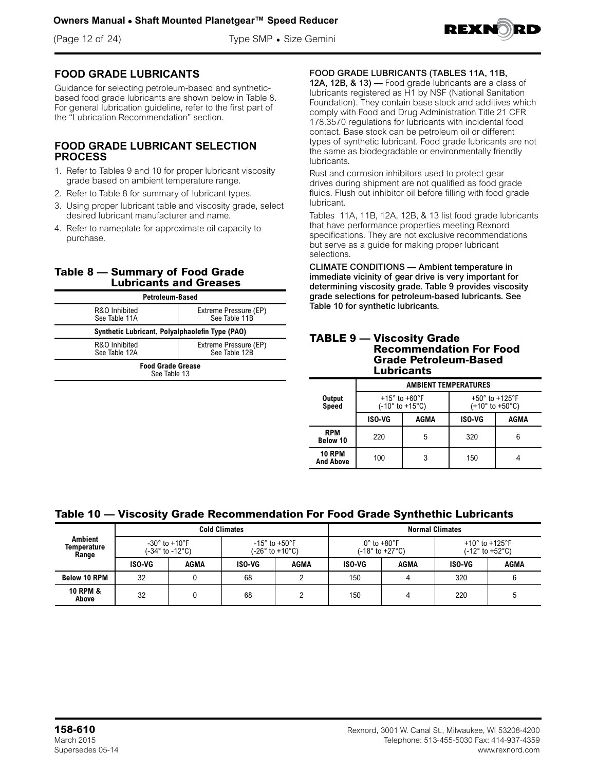(Page 12 of 24) Type SMP • Size Gemini



## **FOOD GRADE LUBRICANTS**

Guidance for selecting petroleum-based and syntheticbased food grade lubricants are shown below in Table 8. For general lubrication guideline, refer to the first part of the "Lubrication Recommendation" section.

#### **FOOD GRADE LUBRICANT SELECTION PROCESS**

- 1. Refer to Tables 9 and 10 for proper lubricant viscosity grade based on ambient temperature range.
- 2. Refer to Table 8 for summary of lubricant types.
- 3. Using proper lubricant table and viscosity grade, select desired lubricant manufacturer and name.
- 4. Refer to nameplate for approximate oil capacity to purchase.

#### **Table 8 — Summary of Food Grade Lubricants and Greases**

| Petroleum-Based                                 |  |  |
|-------------------------------------------------|--|--|
| Extreme Pressure (EP)<br>See Table 11B          |  |  |
| Synthetic Lubricant, Polyalphaolefin Type (PAO) |  |  |
| Extreme Pressure (EP)<br>See Table 12B          |  |  |
| <b>Food Grade Grease</b><br>See Table 13        |  |  |
|                                                 |  |  |

### FOOD GRADE LUBRICANTS (TABLES 11A, 11B,

12A, 12B, & 13) — Food grade lubricants are a class of lubricants registered as H1 by NSF (National Sanitation Foundation). They contain base stock and additives which comply with Food and Drug Administration Title 21 CFR 178.3570 regulations for lubricants with incidental food contact. Base stock can be petroleum oil or different types of synthetic lubricant. Food grade lubricants are not the same as biodegradable or environmentally friendly lubricants.

Rust and corrosion inhibitors used to protect gear drives during shipment are not qualified as food grade fluids. Flush out inhibitor oil before filling with food grade lubricant.

Tables 11A, 11B, 12A, 12B, & 13 list food grade lubricants that have performance properties meeting Rexnord specifications. They are not exclusive recommendations but serve as a guide for making proper lubricant selections.

CLIMATE CONDITIONS — Ambient temperature in immediate vicinity of gear drive is very important for determining viscosity grade. Table 9 provides viscosity grade selections for petroleum-based lubricants. See Table 10 for synthetic lubricants.

#### **TABLE 9 — Viscosity Grade Recommendation For Food Grade Petroleum-Based Lubricants**

|                                   | <b>AMBIENT TEMPERATURES</b>  |                 |                                                                     |      |  |
|-----------------------------------|------------------------------|-----------------|---------------------------------------------------------------------|------|--|
| Output<br><b>Speed</b>            | $+15^\circ$ to $+60^\circ$ F | (-10° to +15°C) | $+50^\circ$ to $+125^\circ$ F<br>$(+10^{\circ}$ to $+50^{\circ}$ C) |      |  |
|                                   | <b>ISO-VG</b>                | AGMA            | <b>ISO-VG</b>                                                       | AGMA |  |
| <b>RPM</b><br>Below 10            | 220                          | 5               | 320                                                                 |      |  |
| <b>10 RPM</b><br><b>And Above</b> | 100                          | 3               | 150                                                                 |      |  |

## **Table 10 — Viscosity Grade Recommendation For Food Grade Synthethic Lubricants**

| <b>Cold Climates</b>                   |        |                                                       |        |                                                      | <b>Normal Climates</b> |                                                                  |        |                                                                           |
|----------------------------------------|--------|-------------------------------------------------------|--------|------------------------------------------------------|------------------------|------------------------------------------------------------------|--------|---------------------------------------------------------------------------|
| <b>Ambient</b><br>Temperature<br>Range |        | -30 $^{\circ}$ to +10 $^{\circ}$ F<br>(-34° to -12°C) |        | $-15^{\circ}$ to $+50^{\circ}$ F<br>(-26° to +10°C). |                        | $0^\circ$ to $+80^\circ$ F<br>$(-18^{\circ}$ to $+27^{\circ}$ C) |        | +10 $^{\circ}$ to +125 $^{\circ}$ F<br>$(-12^{\circ}$ to $+52^{\circ}$ C) |
|                                        | ISO-VG | AGMA                                                  | ISO-VG | AGMA                                                 | ISO-VG                 | AGMA                                                             | ISO-VG | AGMA                                                                      |
| <b>Below 10 RPM</b>                    | 32     |                                                       | 68     |                                                      | 150                    |                                                                  | 320    |                                                                           |
| <b>10 RPM &amp;</b><br>Above           | 32     |                                                       | 68     | ◠                                                    | 150                    |                                                                  | 220    |                                                                           |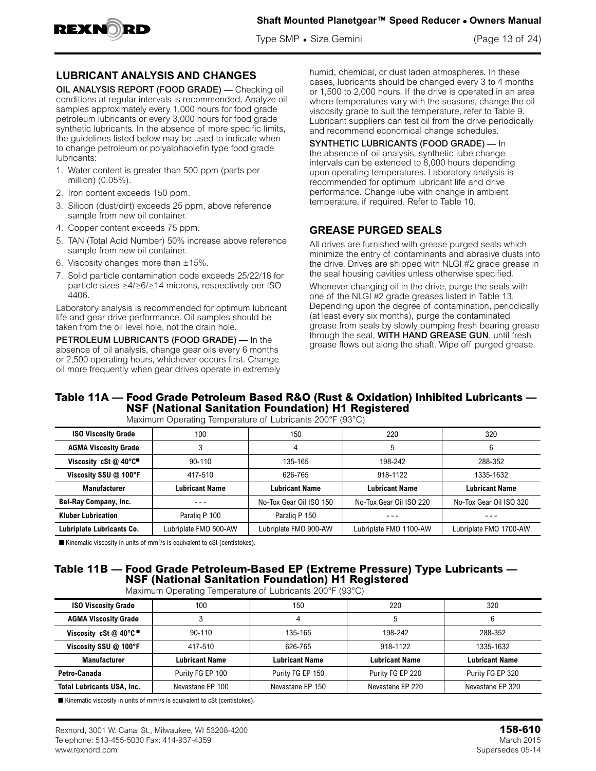

Type SMP • Size Gemini (Page 13 of 24)

## **LUBRICANT ANALYSIS AND CHANGES**

OIL ANALYSIS REPORT (FOOD GRADE) — Checking oil conditions at regular intervals is recommended. Analyze oil samples approximately every 1,000 hours for food grade petroleum lubricants or every 3,000 hours for food grade synthetic lubricants. In the absence of more specific limits, the guidelines listed below may be used to indicate when to change petroleum or polyalphaolefin type food grade lubricants:

- 1. Water content is greater than 500 ppm (parts per million) (0.05%).
- 2. Iron content exceeds 150 ppm.
- 3. Silicon (dust/dirt) exceeds 25 ppm, above reference sample from new oil container.
- 4. Copper content exceeds 75 ppm.
- 5. TAN (Total Acid Number) 50% increase above reference sample from new oil container.
- 6. Viscosity changes more than  $\pm 15\%$ .
- 7. Solid particle contamination code exceeds 25/22/18 for particle sizes ≥4/≥6/≥14 microns, respectively per ISO 4406.

Laboratory analysis is recommended for optimum lubricant life and gear drive performance. Oil samples should be taken from the oil level hole, not the drain hole.

PETROLEUM LUBRICANTS (FOOD GRADE) — In the absence of oil analysis, change gear oils every 6 months or 2,500 operating hours, whichever occurs first. Change oil more frequently when gear drives operate in extremely

humid, chemical, or dust laden atmospheres. In these cases, lubricants should be changed every 3 to 4 months or 1,500 to 2,000 hours. If the drive is operated in an area where temperatures vary with the seasons, change the oil viscosity grade to suit the temperature, refer to Table 9. Lubricant suppliers can test oil from the drive periodically and recommend economical change schedules.

SYNTHETIC LUBRICANTS (FOOD GRADE) — In the absence of oil analysis, synthetic lube change intervals can be extended to 8,000 hours depending upon operating temperatures. Laboratory analysis is recommended for optimum lubricant life and drive performance. Change lube with change in ambient temperature, if required. Refer to Table 10.

## **GREASE PURGED SEALS**

All drives are furnished with grease purged seals which minimize the entry of contaminants and abrasive dusts into the drive. Drives are shipped with NLGI #2 grade grease in the seal housing cavities unless otherwise specified.

Whenever changing oil in the drive, purge the seals with one of the NLGI #2 grade greases listed in Table 13. Depending upon the degree of contamination, periodically (at least every six months), purge the contaminated grease from seals by slowly pumping fresh bearing grease through the seal, WITH HAND GREASE GUN, until fresh grease flows out along the shaft. Wipe off purged grease.

## **Table 11A — Food Grade Petroleum Based R&O (Rust & Oxidation) Inhibited Lubricants — NSF (National Sanitation Foundation) H1 Registered**

| <b>Maximum operating Tomporature or Eubilounte Eco 1 (00 0)</b> |                       |                         |                         |                         |  |
|-----------------------------------------------------------------|-----------------------|-------------------------|-------------------------|-------------------------|--|
| <b>ISO Viscosity Grade</b>                                      | 100                   | 150                     | 220                     | 320                     |  |
| <b>AGMA Viscosity Grade</b>                                     |                       |                         | 5                       | 6                       |  |
| Viscosity cSt $@$ 40 $°C$ <sup><math>\blacksquare</math></sup>  | $90 - 110$            | 135-165                 | 198-242                 | 288-352                 |  |
| Viscosity SSU @ 100°F                                           | 417-510               | 626-765                 | 918-1122                | 1335-1632               |  |
| <b>Manufacturer</b>                                             | Lubricant Name        | Lubricant Name          | Lubricant Name          | <b>Lubricant Name</b>   |  |
| Bel-Ray Company, Inc.                                           |                       | No-Tox Gear Oil ISO 150 | No-Tox Gear Oil ISO 220 | No-Tox Gear Oil ISO 320 |  |
| <b>Kluber Lubrication</b>                                       | Paralig P 100         | Paralig P 150           |                         |                         |  |
| <b>Lubriplate Lubricants Co.</b>                                | Lubriplate FMO 500-AW | Lubriplate FMO 900-AW   | Lubriplate FMO 1100-AW  | Lubriplate FMO 1700-AW  |  |

Maximum Operating Temperature of Lubricants 200°F (93°C)

**Kinematic viscosity in units of mm<sup>2</sup>/s is equivalent to cSt (centistokes).** 

#### **Table 11B — Food Grade Petroleum-Based EP (Extreme Pressure) Type Lubricants — NSF (National Sanitation Foundation) H1 Registered** Maximum Operating Temperature of Lubricants 200°F (93°C)

| maximum operating remperature or Eabhoarto 200 + 100 O) |                       |                  |                       |                       |
|---------------------------------------------------------|-----------------------|------------------|-----------------------|-----------------------|
| <b>ISO Viscosity Grade</b>                              | 100                   | 150              | 220                   | 320                   |
| <b>AGMA Viscosity Grade</b>                             |                       |                  | b                     |                       |
| Viscosity cSt $@$ 40°C                                  | $90 - 110$            | 135-165          | 198-242               | 288-352               |
| Viscosity SSU @ 100°F                                   | 417-510               | 626-765          | 918-1122              | 1335-1632             |
| <b>Manufacturer</b>                                     | <b>Lubricant Name</b> | Lubricant Name   | <b>Lubricant Name</b> | <b>Lubricant Name</b> |
| Petro-Canada                                            | Purity FG EP 100      | Purity FG EP 150 | Purity FG EP 220      | Purity FG EP 320      |
| <b>Total Lubricants USA, Inc.</b>                       | Nevastane EP 100      | Nevastane EP 150 | Nevastane EP 220      | Nevastane EP 320      |

 $\blacksquare$  Kinematic viscosity in units of mm<sup>2</sup>/s is equivalent to cSt (centistokes).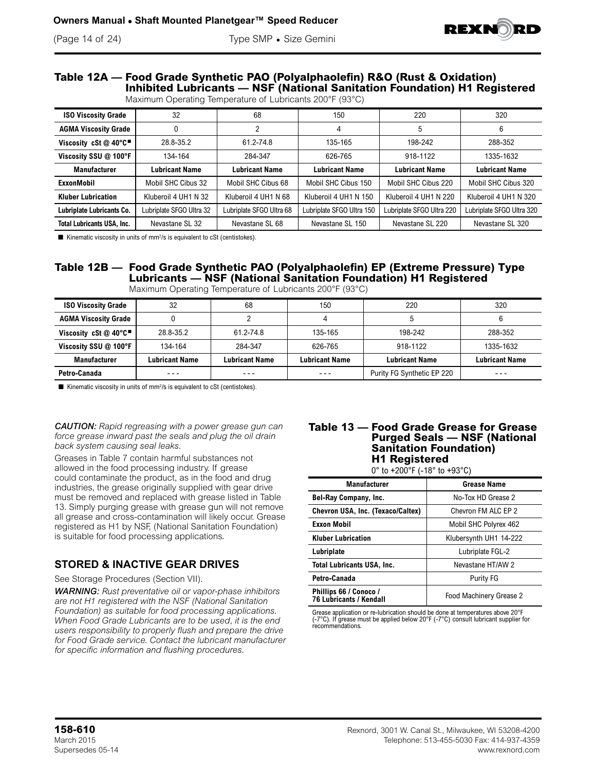

# (Page 14 of 24) Type SMP • Size Gemini

#### **Table 12A — Food Grade Synthetic PAO (Polyalphaolefin) R&O (Rust & Oxidation) Inhibited Lubricants — NSF (National Sanitation Foundation) H1 Registered** Maximum Operating Temperature of Lubricants 200°F (93°C)

| <b>ISO Viscosity Grade</b>        | 32                       | 68                       | 150                       | 220                       | 320                       |
|-----------------------------------|--------------------------|--------------------------|---------------------------|---------------------------|---------------------------|
| <b>AGMA Viscosity Grade</b>       | $\Omega$                 | っ                        | 4                         | 5                         | 6                         |
| Viscosity cSt @ 40°C"             | 28.8-35.2                | 61.2-74.8                | 135-165                   | 198-242                   | 288-352                   |
| Viscosity SSU @ 100°F             | 134-164                  | 284-347                  | 626-765                   | 918-1122                  | 1335-1632                 |
| <b>Manufacturer</b>               | <b>Lubricant Name</b>    | <b>Lubricant Name</b>    | <b>Lubricant Name</b>     | <b>Lubricant Name</b>     | <b>Lubricant Name</b>     |
| <b>ExxonMobil</b>                 | Mobil SHC Cibus 32       | Mobil SHC Cibus 68       | Mobil SHC Cibus 150       | Mobil SHC Cibus 220       | Mobil SHC Cibus 320       |
| <b>Kluber Lubrication</b>         | Kluberoil 4 UH1 N 32     | Kluberoil 4 UH1 N 68     | Kluberoil 4 UH1 N 150     | Kluberoil 4 UH1 N 220     | Kluberoil 4 UH1 N 320     |
| Lubriplate Lubricants Co.         | Lubriplate SFGO Ultra 32 | Lubriplate SFGO Ultra 68 | Lubriplate SFGO Ultra 150 | Lubriplate SFGO Ultra 220 | Lubriplate SFGO Ultra 320 |
| <b>Total Lubricants USA, Inc.</b> | Nevastane SL 32          | Nevastane SL 68          | Nevastane SL 150          | Nevastane SL 220          | Nevastane SL 320          |

 $\blacksquare$  Kinematic viscosity in units of mm<sup>2</sup>/s is equivalent to cSt (centistokes).

## **Table 12B — Food Grade Synthetic PAO (Polyalphaolefin) EP (Extreme Pressure) Type Lubricants — NSF (National Sanitation Foundation) H1 Registered**

| <b>ISO Viscosity Grade</b>                                     | 32             | 68                    | 150                   | 220                        | 320                   |
|----------------------------------------------------------------|----------------|-----------------------|-----------------------|----------------------------|-----------------------|
| <b>AGMA Viscosity Grade</b>                                    |                |                       |                       |                            |                       |
| Viscosity cSt $@$ 40 $°C$ <sup><math>\blacksquare</math></sup> | 28.8-35.2      | 61.2-74.8             | 135-165               | 198-242                    | 288-352               |
| Viscosity SSU @ 100°F                                          | 134-164        | 284-347               | 626-765               | 918-1122                   | 1335-1632             |
| <b>Manufacturer</b>                                            | Lubricant Name | <b>Lubricant Name</b> | <b>Lubricant Name</b> | <b>Lubricant Name</b>      | <b>Lubricant Name</b> |
| Petro-Canada                                                   | $- - -$        | ---                   | - - -                 | Purity FG Synthetic EP 220 | $- - -$               |

Maximum Operating Temperature of Lubricants 200°F (93°C)

 $\blacksquare$  Kinematic viscosity in units of mm<sup>2</sup>/s is equivalent to cSt (centistokes).

*CAUTION: Rapid regreasing with a power grease gun can force grease inward past the seals and plug the oil drain back system causing seal leaks.*

Greases in Table 7 contain harmful substances not allowed in the food processing industry. If grease could contaminate the product, as in the food and drug industries, the grease originally supplied with gear drive must be removed and replaced with grease listed in Table 13. Simply purging grease with grease gun will not remove all grease and cross-contamination will likely occur. Grease registered as H1 by NSF, (National Sanitation Foundation) is suitable for food processing applications.

## **STORED & INACTIVE GEAR DRIVES**

See Storage Procedures (Section VII).

*WARNING: Rust preventative oil or vapor-phase inhibitors are not H1 registered with the NSF (National Sanitation Foundation) as suitable for food processing applications. When Food Grade Lubricants are to be used, it is the end users responsibility to properly flush and prepare the drive for Food Grade service. Contact the lubricant manufacturer for specific information and flushing procedures.*

#### **Table 13 — Food Grade Grease for Grease Purged Seals — NSF (National Sanitation Foundation) H1 Registered**

0° to +200°F (-18° to +93°C)

| <b>Manufacturer</b>                               | Grease Name             |
|---------------------------------------------------|-------------------------|
| <b>Bel-Ray Company, Inc.</b>                      | No-Tox HD Grease 2      |
| Chevron USA, Inc. (Texaco/Caltex)                 | Chevron FM ALC EP 2     |
| <b>Exxon Mobil</b>                                | Mobil SHC Polyrex 462   |
| <b>Kluber Lubrication</b>                         | Klubersynth UH1 14-222  |
| Lubriplate                                        | Lubriplate FGL-2        |
| <b>Total Lubricants USA, Inc.</b>                 | Nevastane HT/AW 2       |
| Petro-Canada                                      | <b>Purity FG</b>        |
| Phillips 66 / Conoco /<br>76 Lubricants / Kendall | Food Machinery Grease 2 |

Grease application or re-lubrication should be done at temperatures above 20°F (-7°C). If grease must be applied below 20°F (-7°C) consult lubricant supplier for recommendations.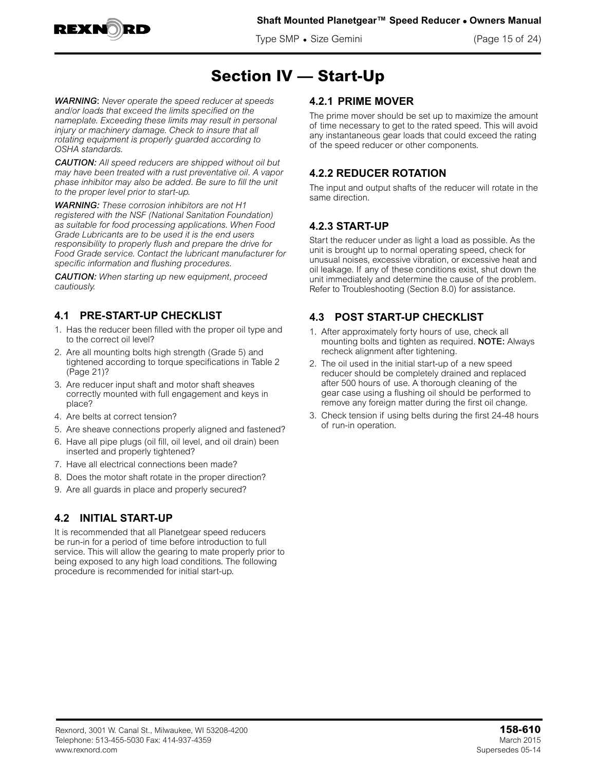

**Shaft Mounted Planetgear™ Speed Reducer • Owners Manual**

Type SMP • Size Gemini (Page 15 of 24)

## **Section IV — Start-Up**

*WARNING*: *Never operate the speed reducer at speeds and/or loads that exceed the limits specified on the nameplate. Exceeding these limits may result in personal injury or machinery damage. Check to insure that all rotating equipment is properly guarded according to OSHA standards.*

*CAUTION: All speed reducers are shipped without oil but may have been treated with a rust preventative oil. A vapor phase inhibitor may also be added. Be sure to fill the unit to the proper level prior to start-up.*

*WARNING: These corrosion inhibitors are not H1 registered with the NSF (National Sanitation Foundation) as suitable for food processing applications. When Food Grade Lubricants are to be used it is the end users responsibility to properly flush and prepare the drive for Food Grade service. Contact the lubricant manufacturer for specific information and flushing procedures.*

*CAUTION: When starting up new equipment, proceed cautiously.*

## **4.1 PRE-START-UP CHECKLIST**

- 1. Has the reducer been filled with the proper oil type and to the correct oil level?
- 2. Are all mounting bolts high strength (Grade 5) and tightened according to torque specifications in Table 2 (Page 21)?
- 3. Are reducer input shaft and motor shaft sheaves correctly mounted with full engagement and keys in place?
- 4. Are belts at correct tension?
- 5. Are sheave connections properly aligned and fastened?
- 6. Have all pipe plugs (oil fill, oil level, and oil drain) been inserted and properly tightened?
- 7. Have all electrical connections been made?
- 8. Does the motor shaft rotate in the proper direction?
- 9. Are all guards in place and properly secured?

## **4.2 INITIAL START-UP**

It is recommended that all Planetgear speed reducers be run-in for a period of time before introduction to full service. This will allow the gearing to mate properly prior to being exposed to any high load conditions. The following procedure is recommended for initial start-up.

## **4.2.1 PRIME MOVER**

The prime mover should be set up to maximize the amount of time necessary to get to the rated speed. This will avoid any instantaneous gear loads that could exceed the rating of the speed reducer or other components.

## **4.2.2 REDUCER ROTATION**

The input and output shafts of the reducer will rotate in the same direction.

## **4.2.3 START-UP**

Start the reducer under as light a load as possible. As the unit is brought up to normal operating speed, check for unusual noises, excessive vibration, or excessive heat and oil leakage. If any of these conditions exist, shut down the unit immediately and determine the cause of the problem. Refer to Troubleshooting (Section 8.0) for assistance.

## **4.3 POST START-UP CHECKLIST**

- 1. After approximately forty hours of use, check all mounting bolts and tighten as required. NOTE: Always recheck alignment after tightening.
- 2. The oil used in the initial start-up of a new speed reducer should be completely drained and replaced after 500 hours of use. A thorough cleaning of the gear case using a flushing oil should be performed to remove any foreign matter during the first oil change.
- 3. Check tension if using belts during the first 24-48 hours of run-in operation.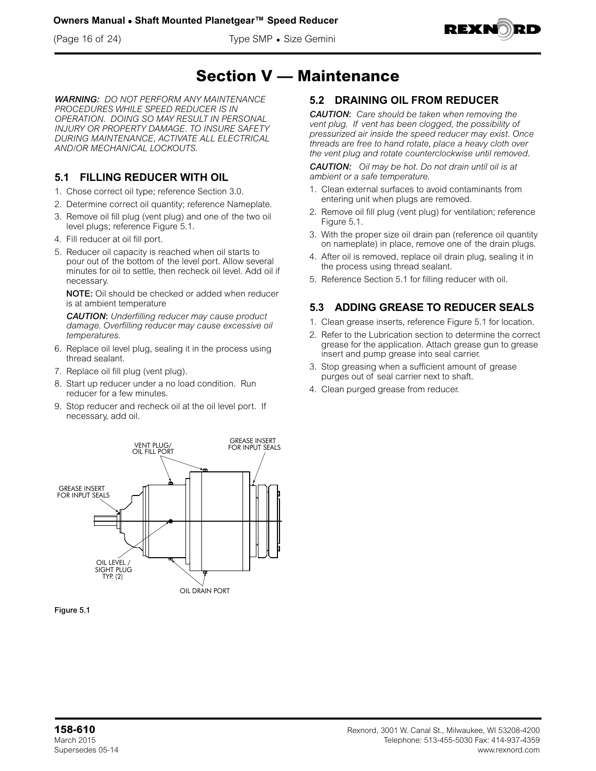



## **Section V — Maintenance**

*WARNING: DO NOT PERFORM ANY MAINTENANCE PROCEDURES WHILE SPEED REDUCER IS IN OPERATION. DOING SO MAY RESULT IN PERSONAL INJURY OR PROPERTY DAMAGE. TO INSURE SAFETY DURING MAINTENANCE, ACTIVATE ALL ELECTRICAL AND/OR MECHANICAL LOCKOUTS.*

## **5.1 FILLING REDUCER WITH OIL**

- 1. Chose correct oil type; reference Section 3.0.
- 2. Determine correct oil quantity; reference Nameplate.
- 3. Remove oil fill plug (vent plug) and one of the two oil level plugs; reference Figure 5.1.
- 4. Fill reducer at oil fill port.
- 5. Reducer oil capacity is reached when oil starts to pour out of the bottom of the level port. Allow several minutes for oil to settle, then recheck oil level. Add oil if necessary.

NOTE: Oil should be checked or added when reducer is at ambient temperature

*CAUTION*: *Underfilling reducer may cause product damage. Overfilling reducer may cause excessive oil temperatures.*

- 6. Replace oil level plug, sealing it in the process using thread sealant.
- 7. Replace oil fill plug (vent plug).
- 8. Start up reducer under a no load condition. Run reducer for a few minutes.
- 9. Stop reducer and recheck oil at the oil level port. If necessary, add oil.





## **5.2 DRAINING OIL FROM REDUCER**

*CAUTION*: *Care should be taken when removing the vent plug. If vent has been clogged, the possibility of pressurized air inside the speed reducer may exist. Once threads are free to hand rotate, place a heavy cloth over the vent plug and rotate counterclockwise until removed.*

*CAUTION: Oil may be hot. Do not drain until oil is at ambient or a safe temperature.*

- 1. Clean external surfaces to avoid contaminants from entering unit when plugs are removed.
- 2. Remove oil fill plug (vent plug) for ventilation; reference Figure 5.1.
- 3. With the proper size oil drain pan (reference oil quantity on nameplate) in place, remove one of the drain plugs.
- 4. After oil is removed, replace oil drain plug, sealing it in the process using thread sealant.
- 5. Reference Section 5.1 for filling reducer with oil.

## **5.3 ADDING GREASE TO REDUCER SEALS**

- 1. Clean grease inserts, reference Figure 5.1 for location.
- 2. Refer to the Lubrication section to determine the correct grease for the application. Attach grease gun to grease insert and pump grease into seal carrier.
- 3. Stop greasing when a sufficient amount of grease purges out of seal carrier next to shaft.
- 4. Clean purged grease from reducer.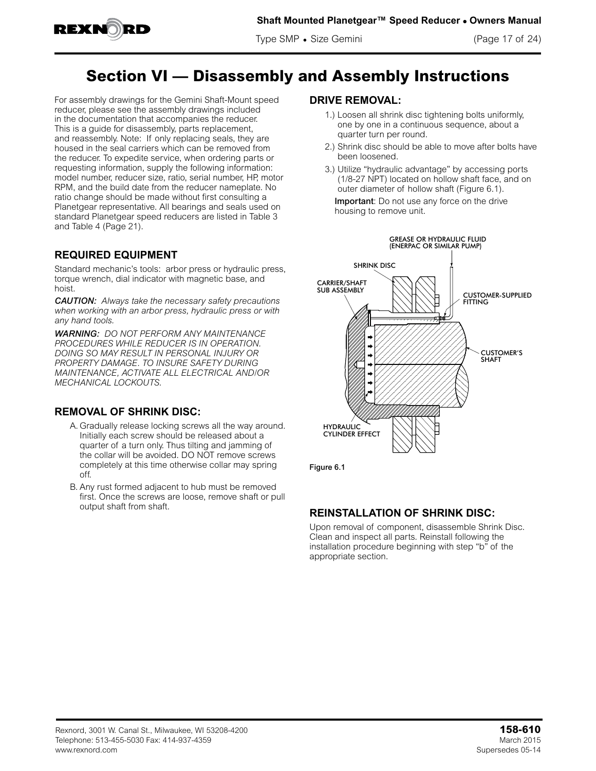

## **Section VI — Disassembly and Assembly Instructions**

For assembly drawings for the Gemini Shaft-Mount speed reducer, please see the assembly drawings included in the documentation that accompanies the reducer. This is a guide for disassembly, parts replacement, and reassembly. Note: If only replacing seals, they are housed in the seal carriers which can be removed from the reducer. To expedite service, when ordering parts or requesting information, supply the following information: model number, reducer size, ratio, serial number, HP, motor RPM, and the build date from the reducer nameplate. No ratio change should be made without first consulting a Planetgear representative. All bearings and seals used on standard Planetgear speed reducers are listed in Table 3 and Table 4 (Page 21).

## **REQUIRED EQUIPMENT**

Standard mechanic's tools: arbor press or hydraulic press, torque wrench, dial indicator with magnetic base, and hoist.

*CAUTION: Always take the necessary safety precautions when working with an arbor press, hydraulic press or with any hand tools.*

*WARNING: DO NOT PERFORM ANY MAINTENANCE PROCEDURES WHILE REDUCER IS IN OPERATION. DOING SO MAY RESULT IN PERSONAL INJURY OR PROPERTY DAMAGE. TO INSURE SAFETY DURING MAINTENANCE, ACTIVATE ALL ELECTRICAL AND/OR MECHANICAL LOCKOUTS.*

## **REMOVAL OF SHRINK DISC:**

- A. Gradually release locking screws all the way around. Initially each screw should be released about a quarter of a turn only. Thus tilting and jamming of the collar will be avoided. DO NOT remove screws completely at this time otherwise collar may spring off.
- B. Any rust formed adjacent to hub must be removed first. Once the screws are loose, remove shaft or pull output shaft from shaft.

### **DRIVE REMOVAL:**

- 1.) Loosen all shrink disc tightening bolts uniformly, one by one in a continuous sequence, about a quarter turn per round.
- 2.) Shrink disc should be able to move after bolts have been loosened.
- 3.) Utilize "hydraulic advantage" by accessing ports (1/8-27 NPT) located on hollow shaft face, and on outer diameter of hollow shaft (Figure 6.1).

Important: Do not use any force on the drive housing to remove unit.



Figure 6.1

## **REINSTALLATION OF SHRINK DISC:**

Upon removal of component, disassemble Shrink Disc. Clean and inspect all parts. Reinstall following the installation procedure beginning with step "b" of the appropriate section.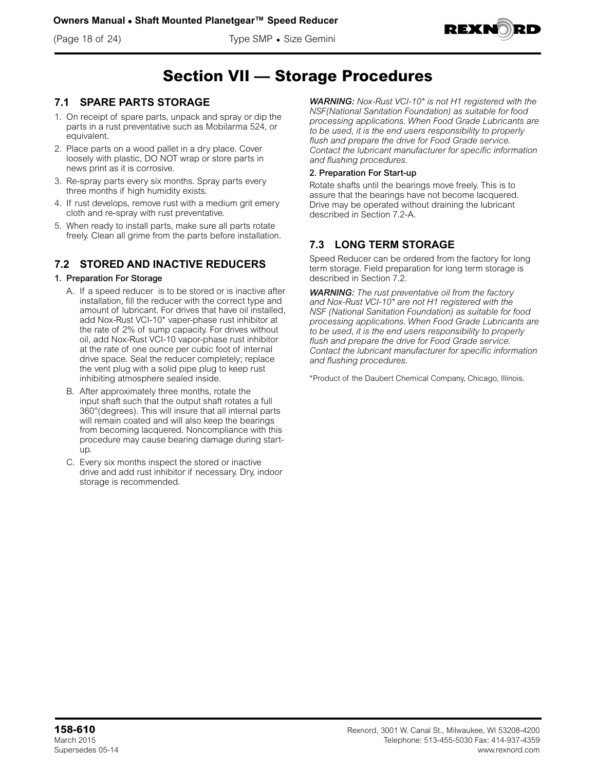(Page 18 of 24) Type SMP • Size Gemini



## **Section VII — Storage Procedures**

### **7.1 SPARE PARTS STORAGE**

- 1. On receipt of spare parts, unpack and spray or dip the parts in a rust preventative such as Mobilarma 524, or equivalent.
- 2. Place parts on a wood pallet in a dry place. Cover loosely with plastic, DO NOT wrap or store parts in news print as it is corrosive.
- 3. Re-spray parts every six months. Spray parts every three months if high humidity exists.
- 4. If rust develops, remove rust with a medium grit emery cloth and re-spray with rust preventative.
- 5. When ready to install parts, make sure all parts rotate freely. Clean all grime from the parts before installation.

### **7.2 STORED AND INACTIVE REDUCERS**

#### 1. Preparation For Storage

- A. If a speed reducer is to be stored or is inactive after installation, fill the reducer with the correct type and amount of lubricant. For drives that have oil installed, add Nox-Rust VCI-10\* vaper-phase rust inhibitor at the rate of 2% of sump capacity. For drives without oil, add Nox-Rust VCI-10 vapor-phase rust inhibitor at the rate of one ounce per cubic foot of internal drive space. Seal the reducer completely; replace the vent plug with a solid pipe plug to keep rust inhibiting atmosphere sealed inside.
- B. After approximately three months, rotate the input shaft such that the output shaft rotates a full 360°(degrees). This will insure that all internal parts will remain coated and will also keep the bearings from becoming lacquered. Noncompliance with this procedure may cause bearing damage during startup.
- C. Every six months inspect the stored or inactive drive and add rust inhibitor if necessary. Dry, indoor storage is recommended.

*WARNING: Nox-Rust VCI-10\* is not H1 registered with the NSF(National Sanitation Foundation) as suitable for food processing applications. When Food Grade Lubricants are to be used, it is the end users responsibility to properly flush and prepare the drive for Food Grade service. Contact the lubricant manufacturer for specific information and flushing procedures.*

#### 2. Preparation For Start-up

Rotate shafts until the bearings move freely. This is to assure that the bearings have not become lacquered. Drive may be operated without draining the lubricant described in Section 7.2-A.

## **7.3 LONG TERM STORAGE**

Speed Reducer can be ordered from the factory for long term storage. Field preparation for long term storage is described in Section 7.2.

*WARNING: The rust preventative oil from the factory and Nox-Rust VCI-10\* are not H1 registered with the NSF (National Sanitation Foundation) as suitable for food processing applications. When Food Grade Lubricants are to be used, it is the end users responsibility to properly flush and prepare the drive for Food Grade service. Contact the lubricant manufacturer for specific information and flushing procedures.*

\*Product of the Daubert Chemical Company, Chicago, Illinois.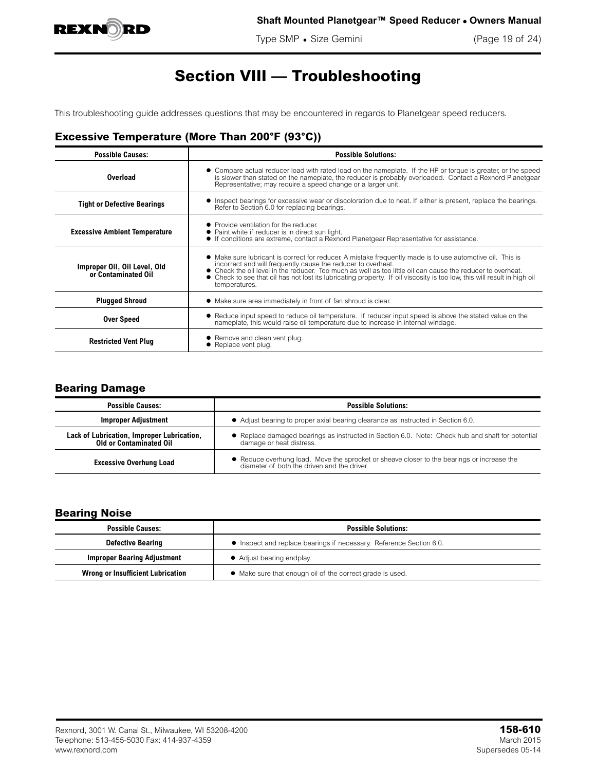

Type SMP • Size Gemini (Page 19 of 24)

## **Section VIII — Troubleshooting**

This troubleshooting guide addresses questions that may be encountered in regards to Planetgear speed reducers.

## **Excessive Temperature (More Than 200°F (93°C))**

| <b>Possible Causes:</b>                             | <b>Possible Solutions:</b>                                                                                                                                                                                                                                                                                                                                                                                                            |
|-----------------------------------------------------|---------------------------------------------------------------------------------------------------------------------------------------------------------------------------------------------------------------------------------------------------------------------------------------------------------------------------------------------------------------------------------------------------------------------------------------|
| Overload                                            | • Compare actual reducer load with rated load on the nameplate. If the HP or torque is greater, or the speed<br>is slower than stated on the nameplate, the reducer is probably overloaded. Contact a Rexnord Planetgear<br>Representative; may require a speed change or a larger unit.                                                                                                                                              |
| <b>Tight or Defective Bearings</b>                  | • Inspect bearings for excessive wear or discoloration due to heat. If either is present, replace the bearings.<br>Refer to Section 6.0 for replacing bearings.                                                                                                                                                                                                                                                                       |
| <b>Excessive Ambient Temperature</b>                | • Provide ventilation for the reducer<br>• Paint white if reducer is in direct sun light.<br>• If conditions are extreme, contact a Rexnord Planetgear Representative for assistance.                                                                                                                                                                                                                                                 |
| Improper Oil, Oil Level, Old<br>or Contaminated Oil | • Make sure lubricant is correct for reducer. A mistake frequently made is to use automotive oil. This is<br>incorrect and will frequently cause the reducer to overheat.<br>• Check the oil level in the reducer. Too much as well as too little oil can cause the reducer to overheat.<br>• Check to see that oil has not lost its lubricating property. If oil viscosity is too low, this will result in high oil<br>temperatures. |
| <b>Plugged Shroud</b>                               | • Make sure area immediately in front of fan shroud is clear.                                                                                                                                                                                                                                                                                                                                                                         |
| <b>Over Speed</b>                                   | • Reduce input speed to reduce oil temperature. If reducer input speed is above the stated value on the<br>nameplate, this would raise oil temperature due to increase in internal windage.                                                                                                                                                                                                                                           |
| <b>Restricted Vent Plug</b>                         | • Remove and clean vent plug.<br>$\bullet$ Replace vent plug.                                                                                                                                                                                                                                                                                                                                                                         |

### **Bearing Damage**

| <b>Possible Causes:</b>                                                      | <b>Possible Solutions:</b>                                                                                                             |  |
|------------------------------------------------------------------------------|----------------------------------------------------------------------------------------------------------------------------------------|--|
| <b>Improper Adjustment</b>                                                   | • Adjust bearing to proper axial bearing clearance as instructed in Section 6.0.                                                       |  |
| Lack of Lubrication, Improper Lubrication,<br><b>Old or Contaminated Oil</b> | • Replace damaged bearings as instructed in Section 6.0. Note: Check hub and shaft for potential<br>damage or heat distress.           |  |
| <b>Excessive Overhung Load</b>                                               | • Reduce overhung load. Move the sprocket or sheave closer to the bearings or increase the diameter of both the driven and the driver. |  |

### **Bearing Noise**

| <b>Possible Causes:</b>                  | <b>Possible Solutions:</b>                                          |
|------------------------------------------|---------------------------------------------------------------------|
| <b>Defective Bearing</b>                 | • Inspect and replace bearings if necessary. Reference Section 6.0. |
| <b>Improper Bearing Adjustment</b>       | • Adjust bearing endplay.                                           |
| <b>Wrong or Insufficient Lubrication</b> | • Make sure that enough oil of the correct grade is used.           |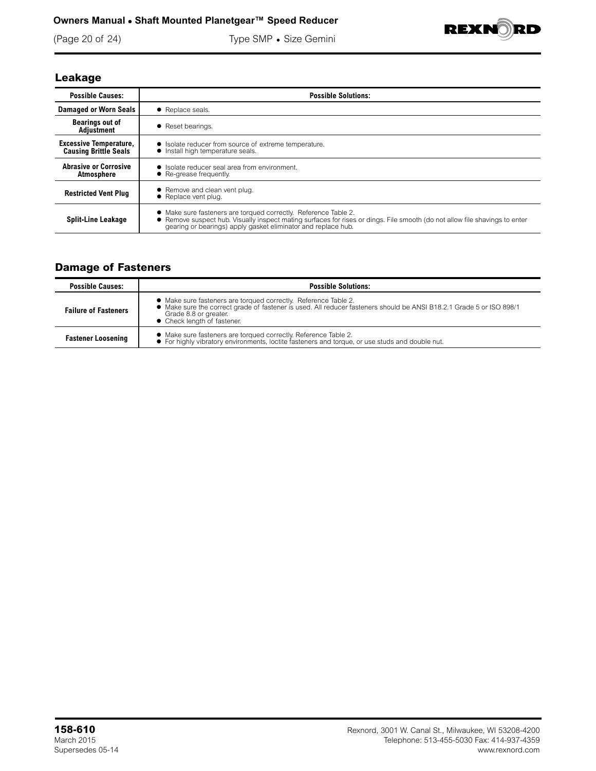### **Owners Manual • Shaft Mounted Planetgear™ Speed Reducer**

(Page 20 of 24) Type SMP • Size Gemini



## **Leakage**

| <b>Possible Causes:</b>                                       | <b>Possible Solutions:</b>                                                                                                                                                                                                                                      |
|---------------------------------------------------------------|-----------------------------------------------------------------------------------------------------------------------------------------------------------------------------------------------------------------------------------------------------------------|
| <b>Damaged or Worn Seals</b>                                  | • Replace seals.                                                                                                                                                                                                                                                |
| <b>Bearings out of</b><br>Adjustment                          | • Reset bearings.                                                                                                                                                                                                                                               |
| <b>Excessive Temperature,</b><br><b>Causing Brittle Seals</b> | • Isolate reducer from source of extreme temperature.<br>• Install high temperature seals.                                                                                                                                                                      |
| <b>Abrasive or Corrosive</b><br>Atmosphere                    | • Isolate reducer seal area from environment.<br>• Re-grease frequently.                                                                                                                                                                                        |
| <b>Restricted Vent Plug</b>                                   | • Remove and clean vent plug.<br>• Replace vent plug.                                                                                                                                                                                                           |
| <b>Split-Line Leakage</b>                                     | • Make sure fasteners are torqued correctly. Reference Table 2.<br>• Remove suspect hub. Visually inspect mating surfaces for rises or dings. File smooth (do not allow file shavings to enter<br>gearing or bearings) apply gasket eliminator and replace hub. |

## **Damage of Fasteners**

| <b>Possible Causes:</b>     | <b>Possible Solutions:</b>                                                                                                                                                                                                                      |
|-----------------------------|-------------------------------------------------------------------------------------------------------------------------------------------------------------------------------------------------------------------------------------------------|
| <b>Failure of Fasteners</b> | • Make sure fasteners are torqued correctly. Reference Table 2.<br>• Make sure the correct grade of fastener is used. All reducer fasteners should be ANSI B18.2.1 Grade 5 or ISO 898/1<br>Grade 8.8 or greater.<br>• Check length of fastener. |
| <b>Fastener Loosening</b>   | • Make sure fasteners are torqued correctly. Reference Table 2.<br>• For highly vibratory environments, loctite fasteners and torque, or use studs and double nut.                                                                              |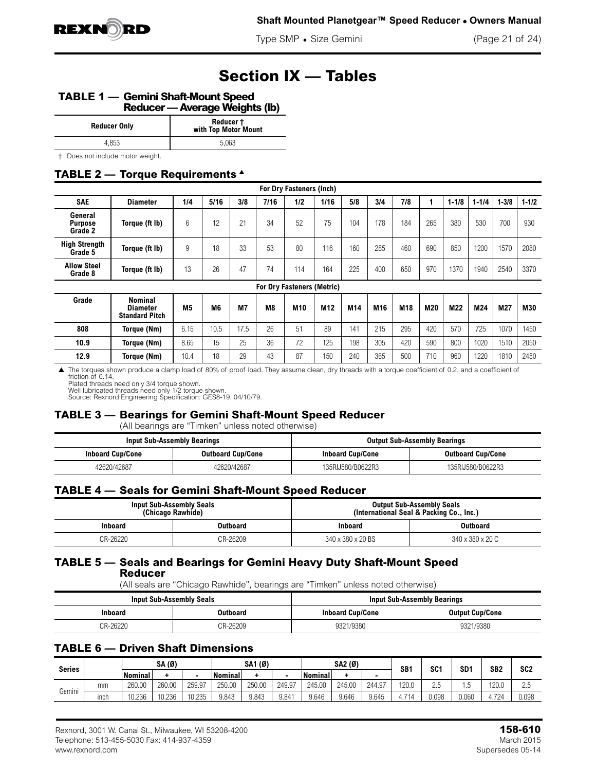

Type SMP • Size Gemini (Page 21 of 24)

## **Section IX — Tables**

#### **TABLE 1 — Gemini Shaft-Mount Speed Reducer — Average Weights (lb)**

| <b>Reducer Only</b>            | Reducer +<br>with Top Motor Mount |
|--------------------------------|-----------------------------------|
| 4.853                          | 5.063                             |
| Does not include motor weight. |                                   |

## **TABLE 2 — Torque Requirements** <sup>s</sup>

|                                      |                                                     |      |      |           |                | For Dry Fasteners (Inch)          |                 |     |     |                 |     |           |           |           |           |
|--------------------------------------|-----------------------------------------------------|------|------|-----------|----------------|-----------------------------------|-----------------|-----|-----|-----------------|-----|-----------|-----------|-----------|-----------|
| <b>SAE</b>                           | <b>Diameter</b>                                     | 1/4  | 5/16 | 3/8       | 7/16           | 1/2                               | 1/16            | 5/8 | 3/4 | 7/8             |     | $1 - 1/8$ | $1 - 1/4$ | $1 - 3/8$ | $1 - 1/2$ |
| General<br><b>Purpose</b><br>Grade 2 | Torque (ft Ib)                                      | 6    | 12   | 21        | 34             | 52                                | 75              | 104 | 178 | 184             | 265 | 380       | 530       | 700       | 930       |
| <b>High Strength</b><br>Grade 5      | Torque (ft Ib)                                      | 9    | 18   | 33        | 53             | 80                                | 116             | 160 | 285 | 460             | 690 | 850       | 1200      | 1570      | 2080      |
| <b>Allow Steel</b><br>Grade 8        | Torque (ft lb)                                      | 13   | 26   | 47        | 74             | 114                               | 164             | 225 | 400 | 650             | 970 | 1370      | 1940      | 2540      | 3370      |
|                                      |                                                     |      |      |           |                | <b>For Dry Fasteners (Metric)</b> |                 |     |     |                 |     |           |           |           |           |
| Grade                                | Nominal<br><b>Diameter</b><br><b>Standard Pitch</b> | M5   | M6   | <b>M7</b> | M <sub>8</sub> | M10                               | M <sub>12</sub> | M14 | M16 | M <sub>18</sub> | M20 | M22       | M24       | M27       | M30       |
| 808                                  | Torque (Nm)                                         | 6.15 | 10.5 | 17.5      | 26             | 51                                | 89              | 141 | 215 | 295             | 420 | 570       | 725       | 1070      | 1450      |
| 10.9                                 | Torque (Nm)                                         | 8.65 | 15   | 25        | 36             | 72                                | 125             | 198 | 305 | 420             | 590 | 800       | 1020      | 1510      | 2050      |
| 12.9                                 | Torque (Nm)                                         | 10.4 | 18   | 29        | 43             | 87                                | 150             | 240 | 365 | 500             | 710 | 960       | 1220      | 1810      | 2450      |

▲ The torques shown produce a clamp load of 80% of proof load. They assume clean, dry threads with a torque coefficient of 0.2, and a coefficient of friction of 0.14.

Plated threads need only 3/4 torque shown. Well lubricated threads need only 1/2 torque shown. Source: Rexnord Engineering Specification: GES8-19, 04/10/79.

#### **TABLE 3 — Bearings for Gemini Shaft-Mount Speed Reducer**

(All bearings are "Timken" unless noted otherwise)

|                         | Input Sub-Assembly Bearings |                         | <b>Output Sub-Assembly Bearings</b> |
|-------------------------|-----------------------------|-------------------------|-------------------------------------|
| <b>Inboard Cup/Cone</b> | <b>Outboard Cup/Cone</b>    | <b>Inboard Cup/Cone</b> | <b>Outboard Cup/Cone</b>            |
| 42620/42687             | 42620/42687                 | 135RIJ580/B0622R3       | 135RIJ580/B0622R3                   |

#### **TABLE 4 — Seals for Gemini Shaft-Mount Speed Reducer**

|          | <b>Input Sub-Assembly Seals</b><br>(Chicago Rawhide) | <b>Output Sub-Assembly Seals</b><br>(International Seal & Packing Co., Inc.) |                  |  |  |
|----------|------------------------------------------------------|------------------------------------------------------------------------------|------------------|--|--|
| Inboard  | <b>Outboard</b>                                      | Inboard                                                                      | <b>Outboard</b>  |  |  |
| CR-26220 | CR-26209                                             | 340 x 380 x 20 BS                                                            | 340 x 380 x 20 C |  |  |

#### **TABLE 5 — Seals and Bearings for Gemini Heavy Duty Shaft-Mount Speed Reducer**

(All seals are "Chicago Rawhide", bearings are "Timken" unless noted otherwise)

| <b>Input Sub-Assembly Seals</b> |          |                         | <b>Input Sub-Assembly Bearings</b> |
|---------------------------------|----------|-------------------------|------------------------------------|
| Inboard                         | Outboard | <b>Inboard Cup/Cone</b> | <b>Output Cup/Cone</b>             |
| CR-26220                        | CR-26209 | 9321/9380               | 9321/9380                          |

## **TABLE 6 — Driven Shaft Dimensions**

| <b>Series</b> |      |         | SA (Ø) |        |         | SA1 (Ø) |        |         | SA2 (Ø) |        | SB <sub>1</sub> |           | SC <sup>.</sup><br>SD1 | SB <sub>2</sub> | SC <sub>2</sub> |
|---------------|------|---------|--------|--------|---------|---------|--------|---------|---------|--------|-----------------|-----------|------------------------|-----------------|-----------------|
|               |      | Nominal |        |        | Nominal |         |        | Nominal |         |        |                 |           |                        |                 |                 |
|               | mm   | 260.00  | 260.00 | 259.97 | 250.00  | 250.00  | 249.97 | 245.00  | 245.00  | 244.97 | 120.0           | つに<br>L.J | l.5                    | 120.0           | 2.5             |
| Gemini        | ınch | 10.236  | 10.236 | 10.235 | 9.843   | 9.843   | 9.841  | 9.646   | 9.646   | 9.645  | .714            | 0.98      | 0.060                  | $+724$          | 0.098           |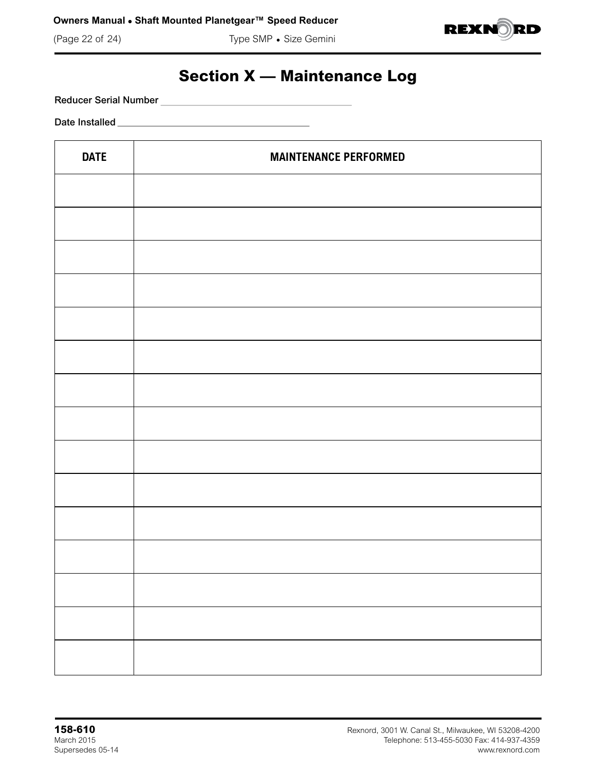(Page 22 of 24) Type SMP • Size Gemini



## **Section X — Maintenance Log**

Reducer Serial Number

Date Installed

| <b>DATE</b> | <b>MAINTENANCE PERFORMED</b> |
|-------------|------------------------------|
|             |                              |
|             |                              |
|             |                              |
|             |                              |
|             |                              |
|             |                              |
|             |                              |
|             |                              |
|             |                              |
|             |                              |
|             |                              |
|             |                              |
|             |                              |
|             |                              |
|             |                              |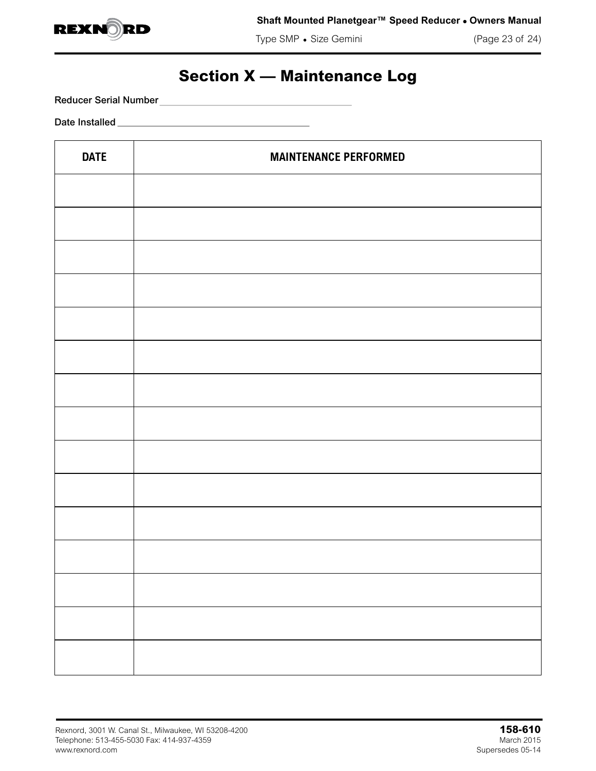

Type SMP • Size Gemini (Page 23 of 24)

## **Section X — Maintenance Log**

Reducer Serial Number

Date Installed

| <b>DATE</b> | <b>MAINTENANCE PERFORMED</b> |
|-------------|------------------------------|
|             |                              |
|             |                              |
|             |                              |
|             |                              |
|             |                              |
|             |                              |
|             |                              |
|             |                              |
|             |                              |
|             |                              |
|             |                              |
|             |                              |
|             |                              |
|             |                              |
|             |                              |
|             |                              |